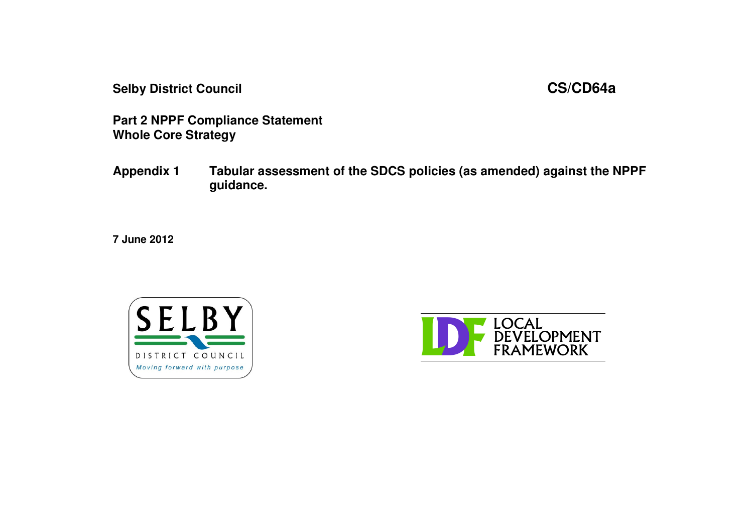**Selby District Council CS/CD64a**

**Part 2 NPPF Compliance Statement Whole Core Strategy**

**Appendix 1 Tabular assessment of the SDCS policies (as amended) against the NPPF guidance.**

**7 June 2012**



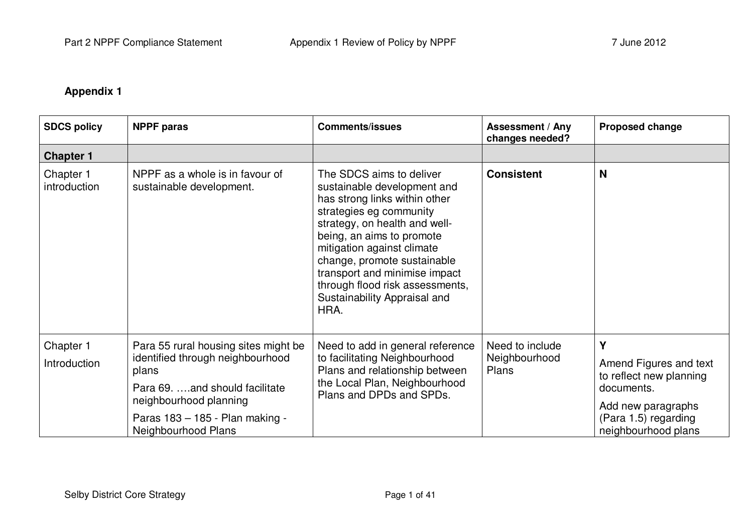## **Appendix 1**

| <b>SDCS policy</b>        | <b>NPPF</b> paras                                                                                                                                                                                       | <b>Comments/issues</b>                                                                                                                                                                                                                                                                                                                                     | <b>Assessment / Any</b><br>changes needed? | <b>Proposed change</b>                                                                                                                    |
|---------------------------|---------------------------------------------------------------------------------------------------------------------------------------------------------------------------------------------------------|------------------------------------------------------------------------------------------------------------------------------------------------------------------------------------------------------------------------------------------------------------------------------------------------------------------------------------------------------------|--------------------------------------------|-------------------------------------------------------------------------------------------------------------------------------------------|
| <b>Chapter 1</b>          |                                                                                                                                                                                                         |                                                                                                                                                                                                                                                                                                                                                            |                                            |                                                                                                                                           |
| Chapter 1<br>introduction | NPPF as a whole is in favour of<br>sustainable development.                                                                                                                                             | The SDCS aims to deliver<br>sustainable development and<br>has strong links within other<br>strategies eg community<br>strategy, on health and well-<br>being, an aims to promote<br>mitigation against climate<br>change, promote sustainable<br>transport and minimise impact<br>through flood risk assessments,<br>Sustainability Appraisal and<br>HRA. | <b>Consistent</b>                          | N                                                                                                                                         |
| Chapter 1<br>Introduction | Para 55 rural housing sites might be<br>identified through neighbourhood<br>plans<br>Para 69. and should facilitate<br>neighbourhood planning<br>Paras 183 - 185 - Plan making -<br>Neighbourhood Plans | Need to add in general reference<br>to facilitating Neighbourhood<br>Plans and relationship between<br>the Local Plan, Neighbourhood<br>Plans and DPDs and SPDs.                                                                                                                                                                                           | Need to include<br>Neighbourhood<br>Plans  | Y<br>Amend Figures and text<br>to reflect new planning<br>documents.<br>Add new paragraphs<br>(Para 1.5) regarding<br>neighbourhood plans |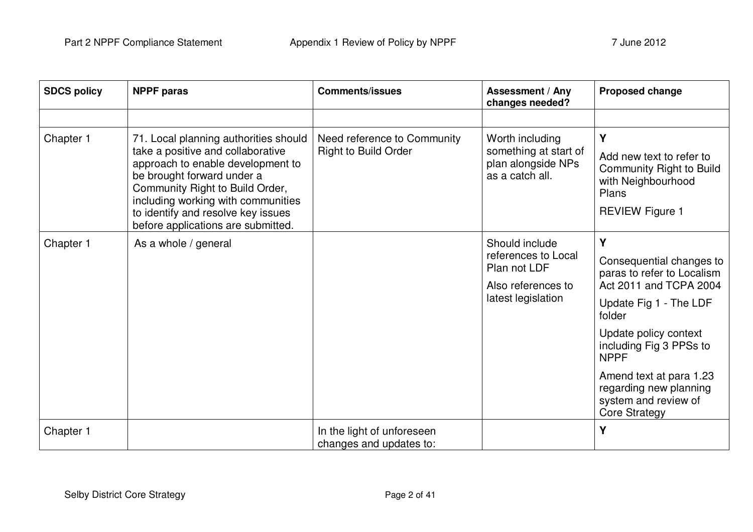| <b>SDCS policy</b> | <b>NPPF paras</b>                                                                                                                                                                                                                                                                                  | <b>Comments/issues</b>                                     | <b>Assessment / Any</b><br>changes needed?                                                        | <b>Proposed change</b>                                                                                                                                                                                                                                                                            |
|--------------------|----------------------------------------------------------------------------------------------------------------------------------------------------------------------------------------------------------------------------------------------------------------------------------------------------|------------------------------------------------------------|---------------------------------------------------------------------------------------------------|---------------------------------------------------------------------------------------------------------------------------------------------------------------------------------------------------------------------------------------------------------------------------------------------------|
|                    |                                                                                                                                                                                                                                                                                                    |                                                            |                                                                                                   |                                                                                                                                                                                                                                                                                                   |
| Chapter 1          | 71. Local planning authorities should<br>take a positive and collaborative<br>approach to enable development to<br>be brought forward under a<br>Community Right to Build Order,<br>including working with communities<br>to identify and resolve key issues<br>before applications are submitted. | Need reference to Community<br><b>Right to Build Order</b> | Worth including<br>something at start of<br>plan alongside NPs<br>as a catch all.                 | Y<br>Add new text to refer to<br><b>Community Right to Build</b><br>with Neighbourhood<br>Plans<br><b>REVIEW Figure 1</b>                                                                                                                                                                         |
| Chapter 1          | As a whole / general                                                                                                                                                                                                                                                                               |                                                            | Should include<br>references to Local<br>Plan not LDF<br>Also references to<br>latest legislation | Y<br>Consequential changes to<br>paras to refer to Localism<br>Act 2011 and TCPA 2004<br>Update Fig 1 - The LDF<br>folder<br>Update policy context<br>including Fig 3 PPSs to<br><b>NPPF</b><br>Amend text at para 1.23<br>regarding new planning<br>system and review of<br><b>Core Strategy</b> |
| Chapter 1          |                                                                                                                                                                                                                                                                                                    | In the light of unforeseen<br>changes and updates to:      |                                                                                                   | Y                                                                                                                                                                                                                                                                                                 |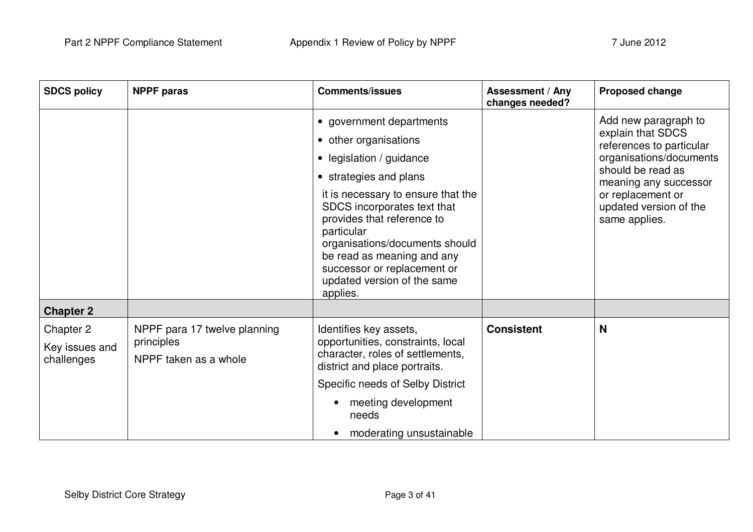| <b>NPPF</b> paras                                                   | <b>Comments/issues</b>                                                                                                                                                                                                                                                                                                                                           | Assessment / Any<br>changes needed? | <b>Proposed change</b>                                                                                                                                                                                         |
|---------------------------------------------------------------------|------------------------------------------------------------------------------------------------------------------------------------------------------------------------------------------------------------------------------------------------------------------------------------------------------------------------------------------------------------------|-------------------------------------|----------------------------------------------------------------------------------------------------------------------------------------------------------------------------------------------------------------|
|                                                                     | government departments<br>• other organisations<br>• legislation / guidance<br>• strategies and plans<br>it is necessary to ensure that the<br>SDCS incorporates text that<br>provides that reference to<br>particular<br>organisations/documents should<br>be read as meaning and any<br>successor or replacement or<br>updated version of the same<br>applies. |                                     | Add new paragraph to<br>explain that SDCS<br>references to particular<br>organisations/documents<br>should be read as<br>meaning any successor<br>or replacement or<br>updated version of the<br>same applies. |
|                                                                     |                                                                                                                                                                                                                                                                                                                                                                  |                                     |                                                                                                                                                                                                                |
| NPPF para 17 twelve planning<br>principles<br>NPPF taken as a whole | Identifies key assets,<br>opportunities, constraints, local<br>character, roles of settlements,<br>district and place portraits.<br>Specific needs of Selby District<br>meeting development<br>needs                                                                                                                                                             | <b>Consistent</b>                   | N                                                                                                                                                                                                              |
|                                                                     |                                                                                                                                                                                                                                                                                                                                                                  | moderating unsustainable            |                                                                                                                                                                                                                |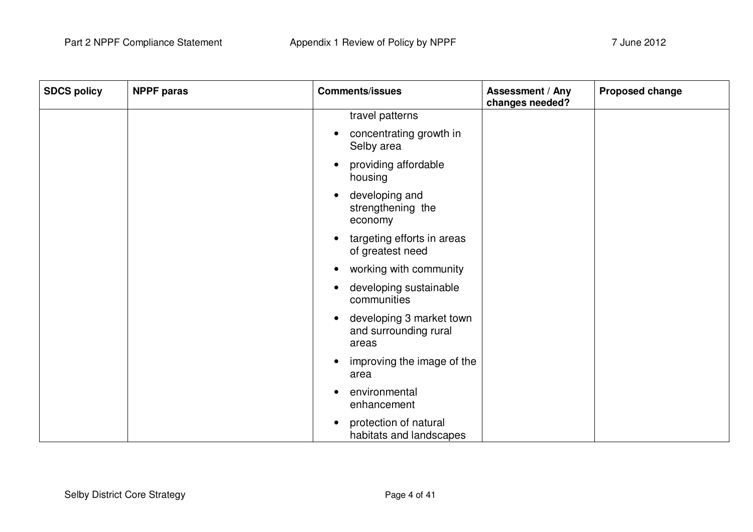| <b>SDCS policy</b> | <b>NPPF</b> paras | <b>Comments/issues</b>                                     | Assessment / Any<br>changes needed? | Proposed change |
|--------------------|-------------------|------------------------------------------------------------|-------------------------------------|-----------------|
|                    |                   | travel patterns                                            |                                     |                 |
|                    |                   | concentrating growth in<br>Selby area                      |                                     |                 |
|                    |                   | providing affordable<br>housing                            |                                     |                 |
|                    |                   | developing and<br>strengthening the<br>economy             |                                     |                 |
|                    |                   | targeting efforts in areas<br>of greatest need             |                                     |                 |
|                    |                   | working with community                                     |                                     |                 |
|                    |                   | developing sustainable<br>communities                      |                                     |                 |
|                    |                   | developing 3 market town<br>and surrounding rural<br>areas |                                     |                 |
|                    |                   | improving the image of the<br>area                         |                                     |                 |
|                    |                   | environmental<br>enhancement                               |                                     |                 |
|                    |                   | protection of natural<br>habitats and landscapes           |                                     |                 |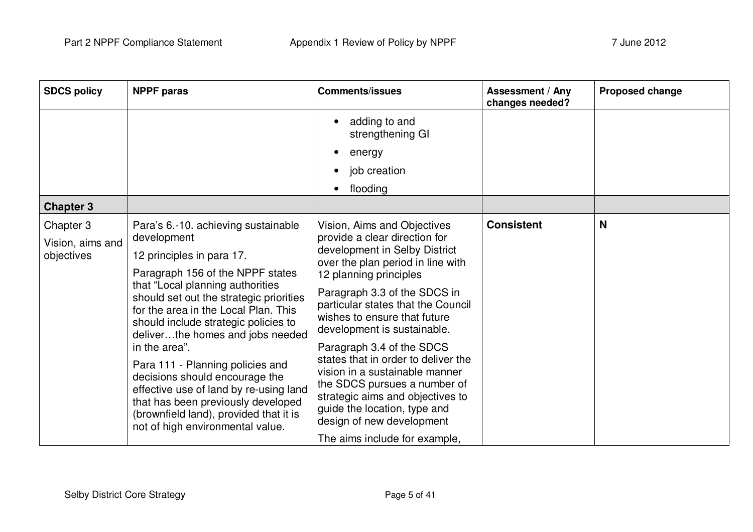| <b>SDCS policy</b>                          | <b>NPPF</b> paras                                                                                                                                                                                                                                                                                                                                                                                                                                                                                                                                                           | <b>Comments/issues</b>                                                                                                                                                                                                                                                                                                                                                                                                                                                                                                                                                    | <b>Assessment / Any</b><br>changes needed? | <b>Proposed change</b> |
|---------------------------------------------|-----------------------------------------------------------------------------------------------------------------------------------------------------------------------------------------------------------------------------------------------------------------------------------------------------------------------------------------------------------------------------------------------------------------------------------------------------------------------------------------------------------------------------------------------------------------------------|---------------------------------------------------------------------------------------------------------------------------------------------------------------------------------------------------------------------------------------------------------------------------------------------------------------------------------------------------------------------------------------------------------------------------------------------------------------------------------------------------------------------------------------------------------------------------|--------------------------------------------|------------------------|
|                                             |                                                                                                                                                                                                                                                                                                                                                                                                                                                                                                                                                                             | adding to and<br>strengthening GI                                                                                                                                                                                                                                                                                                                                                                                                                                                                                                                                         |                                            |                        |
|                                             |                                                                                                                                                                                                                                                                                                                                                                                                                                                                                                                                                                             | energy                                                                                                                                                                                                                                                                                                                                                                                                                                                                                                                                                                    |                                            |                        |
|                                             |                                                                                                                                                                                                                                                                                                                                                                                                                                                                                                                                                                             | job creation                                                                                                                                                                                                                                                                                                                                                                                                                                                                                                                                                              |                                            |                        |
|                                             |                                                                                                                                                                                                                                                                                                                                                                                                                                                                                                                                                                             | flooding                                                                                                                                                                                                                                                                                                                                                                                                                                                                                                                                                                  |                                            |                        |
| <b>Chapter 3</b>                            |                                                                                                                                                                                                                                                                                                                                                                                                                                                                                                                                                                             |                                                                                                                                                                                                                                                                                                                                                                                                                                                                                                                                                                           |                                            |                        |
| Chapter 3<br>Vision, aims and<br>objectives | Para's 6.-10. achieving sustainable<br>development<br>12 principles in para 17.<br>Paragraph 156 of the NPPF states<br>that "Local planning authorities<br>should set out the strategic priorities<br>for the area in the Local Plan. This<br>should include strategic policies to<br>deliverthe homes and jobs needed<br>in the area".<br>Para 111 - Planning policies and<br>decisions should encourage the<br>effective use of land by re-using land<br>that has been previously developed<br>(brownfield land), provided that it is<br>not of high environmental value. | Vision, Aims and Objectives<br>provide a clear direction for<br>development in Selby District<br>over the plan period in line with<br>12 planning principles<br>Paragraph 3.3 of the SDCS in<br>particular states that the Council<br>wishes to ensure that future<br>development is sustainable.<br>Paragraph 3.4 of the SDCS<br>states that in order to deliver the<br>vision in a sustainable manner<br>the SDCS pursues a number of<br>strategic aims and objectives to<br>guide the location, type and<br>design of new development<br>The aims include for example, | <b>Consistent</b>                          | N                      |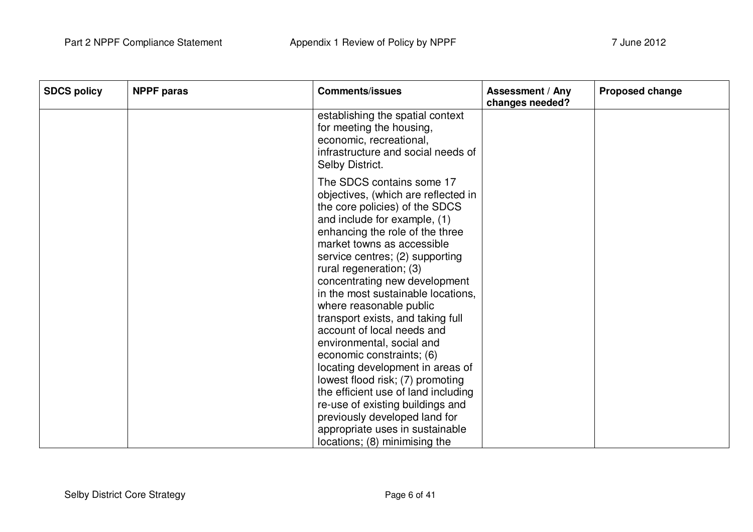| <b>SDCS policy</b> | <b>NPPF</b> paras | <b>Comments/issues</b>                                                                                                                                                                                                                                                                                                                                                                                                                                                                                                                                                                                                                                                                                                                                   | <b>Assessment / Any</b><br>changes needed? | <b>Proposed change</b> |
|--------------------|-------------------|----------------------------------------------------------------------------------------------------------------------------------------------------------------------------------------------------------------------------------------------------------------------------------------------------------------------------------------------------------------------------------------------------------------------------------------------------------------------------------------------------------------------------------------------------------------------------------------------------------------------------------------------------------------------------------------------------------------------------------------------------------|--------------------------------------------|------------------------|
|                    |                   | establishing the spatial context<br>for meeting the housing,<br>economic, recreational,<br>infrastructure and social needs of<br>Selby District.                                                                                                                                                                                                                                                                                                                                                                                                                                                                                                                                                                                                         |                                            |                        |
|                    |                   | The SDCS contains some 17<br>objectives, (which are reflected in<br>the core policies) of the SDCS<br>and include for example, (1)<br>enhancing the role of the three<br>market towns as accessible<br>service centres; (2) supporting<br>rural regeneration; (3)<br>concentrating new development<br>in the most sustainable locations.<br>where reasonable public<br>transport exists, and taking full<br>account of local needs and<br>environmental, social and<br>economic constraints; (6)<br>locating development in areas of<br>lowest flood risk; (7) promoting<br>the efficient use of land including<br>re-use of existing buildings and<br>previously developed land for<br>appropriate uses in sustainable<br>locations; (8) minimising the |                                            |                        |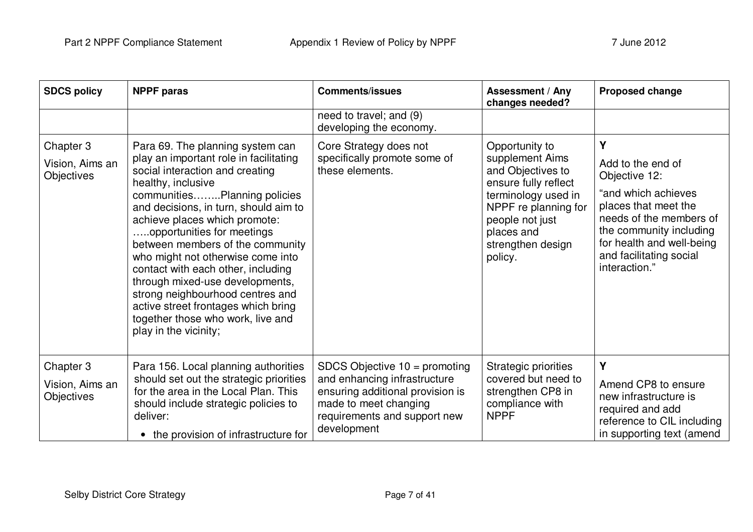| <b>SDCS policy</b>                                | <b>NPPF</b> paras                                                                                                                                                                                                                                                                                                                                                                                                                                                                                                                                                      | <b>Comments/issues</b>                                                                                                                                                      | <b>Assessment / Any</b><br>changes needed?                                                                                                                                                     | <b>Proposed change</b>                                                                                                                                                                                                |
|---------------------------------------------------|------------------------------------------------------------------------------------------------------------------------------------------------------------------------------------------------------------------------------------------------------------------------------------------------------------------------------------------------------------------------------------------------------------------------------------------------------------------------------------------------------------------------------------------------------------------------|-----------------------------------------------------------------------------------------------------------------------------------------------------------------------------|------------------------------------------------------------------------------------------------------------------------------------------------------------------------------------------------|-----------------------------------------------------------------------------------------------------------------------------------------------------------------------------------------------------------------------|
|                                                   |                                                                                                                                                                                                                                                                                                                                                                                                                                                                                                                                                                        | need to travel; and (9)<br>developing the economy.                                                                                                                          |                                                                                                                                                                                                |                                                                                                                                                                                                                       |
| Chapter 3<br>Vision, Aims an<br><b>Objectives</b> | Para 69. The planning system can<br>play an important role in facilitating<br>social interaction and creating<br>healthy, inclusive<br>communitiesPlanning policies<br>and decisions, in turn, should aim to<br>achieve places which promote:<br>opportunities for meetings<br>between members of the community<br>who might not otherwise come into<br>contact with each other, including<br>through mixed-use developments,<br>strong neighbourhood centres and<br>active street frontages which bring<br>together those who work, live and<br>play in the vicinity; | Core Strategy does not<br>specifically promote some of<br>these elements.                                                                                                   | Opportunity to<br>supplement Aims<br>and Objectives to<br>ensure fully reflect<br>terminology used in<br>NPPF re planning for<br>people not just<br>places and<br>strengthen design<br>policy. | Υ<br>Add to the end of<br>Objective 12:<br>"and which achieves<br>places that meet the<br>needs of the members of<br>the community including<br>for health and well-being<br>and facilitating social<br>interaction." |
| Chapter 3<br>Vision, Aims an<br><b>Objectives</b> | Para 156. Local planning authorities<br>should set out the strategic priorities<br>for the area in the Local Plan. This<br>should include strategic policies to<br>deliver:<br>the provision of infrastructure for                                                                                                                                                                                                                                                                                                                                                     | SDCS Objective $10 =$ promoting<br>and enhancing infrastructure<br>ensuring additional provision is<br>made to meet changing<br>requirements and support new<br>development | Strategic priorities<br>covered but need to<br>strengthen CP8 in<br>compliance with<br><b>NPPF</b>                                                                                             | Υ<br>Amend CP8 to ensure<br>new infrastructure is<br>required and add<br>reference to CIL including<br>in supporting text (amend                                                                                      |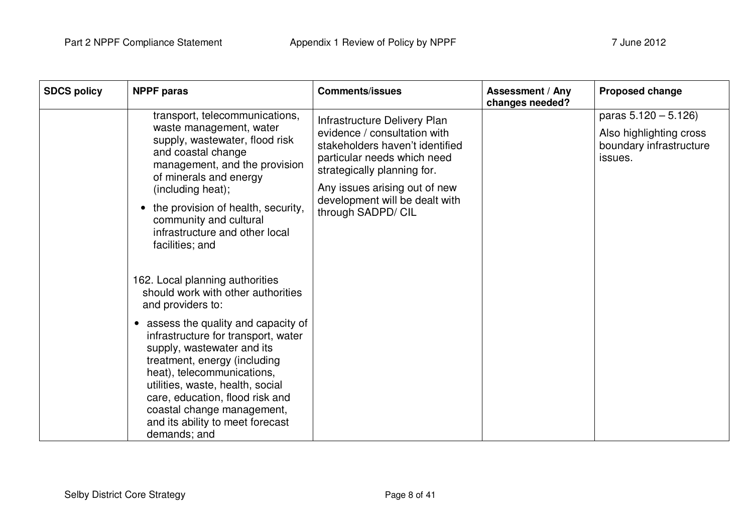| <b>SDCS policy</b> | <b>NPPF</b> paras                                                                                                                                                                                                                                                                                                                                                                                                                                                                                                                                                                                                                                                                                                                                                   | <b>Comments/issues</b>                                                                                                                                                                                                                                 | <b>Assessment / Any</b><br>changes needed? | <b>Proposed change</b>                                                                 |
|--------------------|---------------------------------------------------------------------------------------------------------------------------------------------------------------------------------------------------------------------------------------------------------------------------------------------------------------------------------------------------------------------------------------------------------------------------------------------------------------------------------------------------------------------------------------------------------------------------------------------------------------------------------------------------------------------------------------------------------------------------------------------------------------------|--------------------------------------------------------------------------------------------------------------------------------------------------------------------------------------------------------------------------------------------------------|--------------------------------------------|----------------------------------------------------------------------------------------|
|                    | transport, telecommunications,<br>waste management, water<br>supply, wastewater, flood risk<br>and coastal change<br>management, and the provision<br>of minerals and energy<br>(including heat);<br>the provision of health, security,<br>community and cultural<br>infrastructure and other local<br>facilities; and<br>162. Local planning authorities<br>should work with other authorities<br>and providers to:<br>assess the quality and capacity of<br>$\bullet$<br>infrastructure for transport, water<br>supply, wastewater and its<br>treatment, energy (including<br>heat), telecommunications,<br>utilities, waste, health, social<br>care, education, flood risk and<br>coastal change management,<br>and its ability to meet forecast<br>demands; and | Infrastructure Delivery Plan<br>evidence / consultation with<br>stakeholders haven't identified<br>particular needs which need<br>strategically planning for.<br>Any issues arising out of new<br>development will be dealt with<br>through SADPD/ CIL |                                            | paras $5.120 - 5.126$<br>Also highlighting cross<br>boundary infrastructure<br>issues. |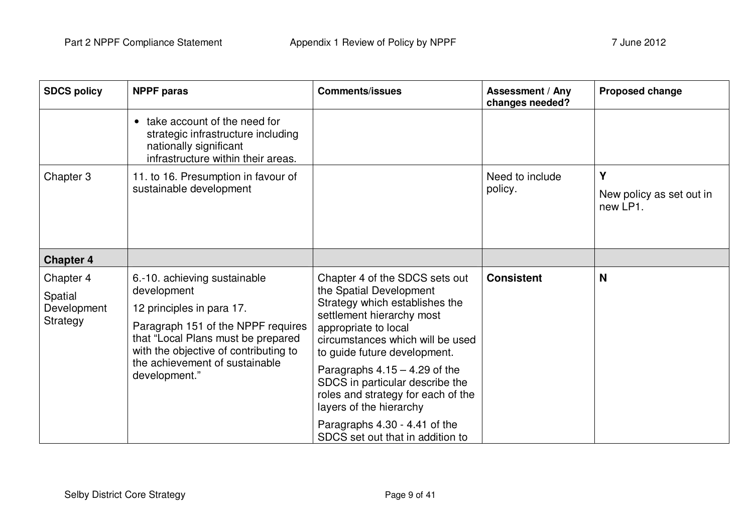| <b>NPPF</b> paras                                                                                                                                                                                                                                | <b>Comments/issues</b>                                                                                                                                                                                                                                                                                                                                                                       | <b>Assessment / Any</b><br>changes needed? | Proposed change                           |
|--------------------------------------------------------------------------------------------------------------------------------------------------------------------------------------------------------------------------------------------------|----------------------------------------------------------------------------------------------------------------------------------------------------------------------------------------------------------------------------------------------------------------------------------------------------------------------------------------------------------------------------------------------|--------------------------------------------|-------------------------------------------|
| take account of the need for<br>$\bullet$<br>strategic infrastructure including<br>nationally significant<br>infrastructure within their areas.                                                                                                  |                                                                                                                                                                                                                                                                                                                                                                                              |                                            |                                           |
| 11. to 16. Presumption in favour of<br>sustainable development                                                                                                                                                                                   |                                                                                                                                                                                                                                                                                                                                                                                              | Need to include<br>policy.                 | Y<br>New policy as set out in<br>new LP1. |
|                                                                                                                                                                                                                                                  |                                                                                                                                                                                                                                                                                                                                                                                              |                                            |                                           |
| 6.-10. achieving sustainable<br>development<br>12 principles in para 17.<br>Paragraph 151 of the NPPF requires<br>that "Local Plans must be prepared<br>with the objective of contributing to<br>the achievement of sustainable<br>development." | Chapter 4 of the SDCS sets out<br>the Spatial Development<br>Strategy which establishes the<br>settlement hierarchy most<br>appropriate to local<br>circumstances which will be used<br>to guide future development.<br>Paragraphs $4.15 - 4.29$ of the<br>SDCS in particular describe the<br>roles and strategy for each of the<br>layers of the hierarchy<br>Paragraphs 4.30 - 4.41 of the | <b>Consistent</b>                          | N                                         |
|                                                                                                                                                                                                                                                  |                                                                                                                                                                                                                                                                                                                                                                                              | SDCS set out that in addition to           |                                           |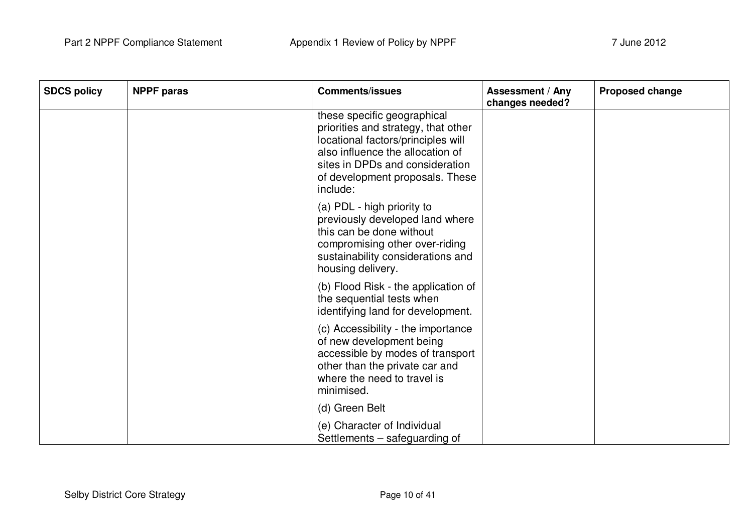| <b>SDCS policy</b> | <b>NPPF paras</b> | <b>Comments/issues</b>                                                                                                                                                                                                         | Assessment / Any<br>changes needed? | <b>Proposed change</b> |
|--------------------|-------------------|--------------------------------------------------------------------------------------------------------------------------------------------------------------------------------------------------------------------------------|-------------------------------------|------------------------|
|                    |                   | these specific geographical<br>priorities and strategy, that other<br>locational factors/principles will<br>also influence the allocation of<br>sites in DPDs and consideration<br>of development proposals. These<br>include: |                                     |                        |
|                    |                   | (a) PDL - high priority to<br>previously developed land where<br>this can be done without<br>compromising other over-riding<br>sustainability considerations and<br>housing delivery.                                          |                                     |                        |
|                    |                   | (b) Flood Risk - the application of<br>the sequential tests when<br>identifying land for development.                                                                                                                          |                                     |                        |
|                    |                   | (c) Accessibility - the importance<br>of new development being<br>accessible by modes of transport<br>other than the private car and<br>where the need to travel is<br>minimised.                                              |                                     |                        |
|                    |                   | (d) Green Belt                                                                                                                                                                                                                 |                                     |                        |
|                    |                   | (e) Character of Individual<br>Settlements – safeguarding of                                                                                                                                                                   |                                     |                        |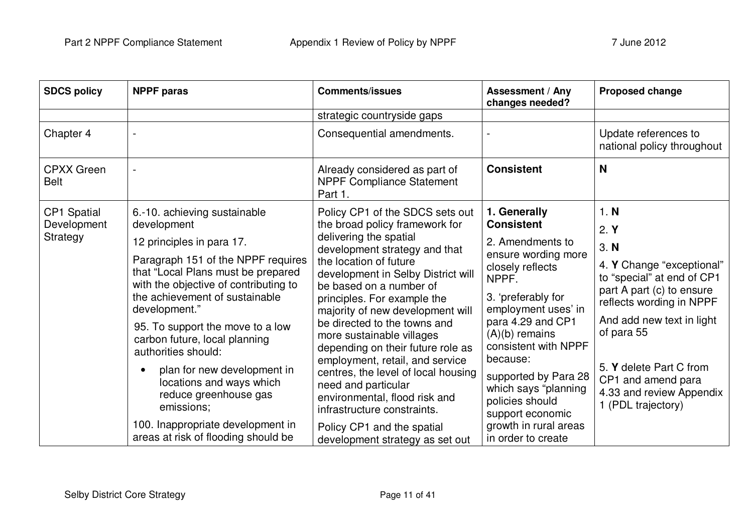| <b>SDCS policy</b>               | <b>NPPF</b> paras                                                                                                                                                    | <b>Comments/issues</b>                                                                                                                                                                                                                                          | <b>Assessment / Any</b><br>changes needed?                                                                                                                                                     | <b>Proposed change</b>                                                                                                                                      |
|----------------------------------|----------------------------------------------------------------------------------------------------------------------------------------------------------------------|-----------------------------------------------------------------------------------------------------------------------------------------------------------------------------------------------------------------------------------------------------------------|------------------------------------------------------------------------------------------------------------------------------------------------------------------------------------------------|-------------------------------------------------------------------------------------------------------------------------------------------------------------|
|                                  |                                                                                                                                                                      | strategic countryside gaps                                                                                                                                                                                                                                      |                                                                                                                                                                                                |                                                                                                                                                             |
| Chapter 4                        |                                                                                                                                                                      | Consequential amendments.                                                                                                                                                                                                                                       |                                                                                                                                                                                                | Update references to<br>national policy throughout                                                                                                          |
| <b>CPXX Green</b><br><b>Belt</b> |                                                                                                                                                                      | Already considered as part of<br><b>NPPF Compliance Statement</b><br>Part 1.                                                                                                                                                                                    | <b>Consistent</b>                                                                                                                                                                              | N                                                                                                                                                           |
| <b>CP1 Spatial</b>               | 6.-10. achieving sustainable                                                                                                                                         | Policy CP1 of the SDCS sets out                                                                                                                                                                                                                                 | 1. Generally                                                                                                                                                                                   | 1. N                                                                                                                                                        |
| Development<br>Strategy          | development                                                                                                                                                          | the broad policy framework for<br>delivering the spatial<br>development strategy and that                                                                                                                                                                       | <b>Consistent</b>                                                                                                                                                                              | 2. Y                                                                                                                                                        |
|                                  | 12 principles in para 17.                                                                                                                                            |                                                                                                                                                                                                                                                                 | 2. Amendments to<br>ensure wording more<br>closely reflects<br>NPPF.<br>3. 'preferably for<br>employment uses' in<br>para 4.29 and CP1<br>$(A)(b)$ remains<br>consistent with NPPF<br>because: | 3. N                                                                                                                                                        |
|                                  | Paragraph 151 of the NPPF requires<br>that "Local Plans must be prepared<br>with the objective of contributing to<br>the achievement of sustainable<br>development." | the location of future<br>development in Selby District will<br>be based on a number of<br>principles. For example the<br>majority of new development will                                                                                                      |                                                                                                                                                                                                | 4. Y Change "exceptional"<br>to "special" at end of CP1<br>part A part (c) to ensure<br>reflects wording in NPPF<br>And add new text in light<br>of para 55 |
|                                  | 95. To support the move to a low<br>carbon future, local planning<br>authorities should:                                                                             | be directed to the towns and<br>more sustainable villages<br>depending on their future role as<br>employment, retail, and service<br>centres, the level of local housing<br>need and particular<br>environmental, flood risk and<br>infrastructure constraints. |                                                                                                                                                                                                |                                                                                                                                                             |
|                                  | plan for new development in<br>locations and ways which<br>reduce greenhouse gas<br>emissions;                                                                       |                                                                                                                                                                                                                                                                 | supported by Para 28<br>which says "planning<br>policies should<br>support economic                                                                                                            | 5. Y delete Part C from<br>CP1 and amend para<br>4.33 and review Appendix<br>1 (PDL trajectory)                                                             |
|                                  | 100. Inappropriate development in<br>areas at risk of flooding should be                                                                                             | Policy CP1 and the spatial<br>development strategy as set out                                                                                                                                                                                                   | growth in rural areas<br>in order to create                                                                                                                                                    |                                                                                                                                                             |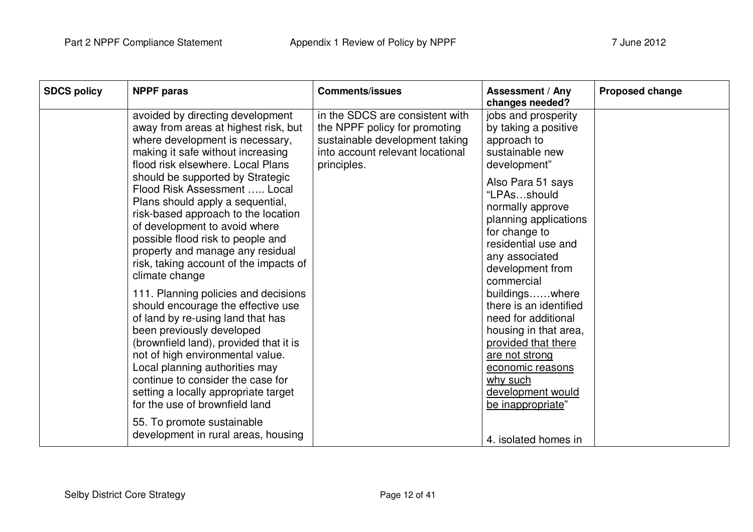| <b>SDCS policy</b> | <b>NPPF paras</b>                                                                                                                                                                                                                                                                                                                                                           | <b>Comments/issues</b>                                                                                                                                | <b>Assessment / Any</b><br>changes needed?                                                                                                                                                                  | <b>Proposed change</b> |
|--------------------|-----------------------------------------------------------------------------------------------------------------------------------------------------------------------------------------------------------------------------------------------------------------------------------------------------------------------------------------------------------------------------|-------------------------------------------------------------------------------------------------------------------------------------------------------|-------------------------------------------------------------------------------------------------------------------------------------------------------------------------------------------------------------|------------------------|
|                    | avoided by directing development<br>away from areas at highest risk, but<br>where development is necessary,<br>making it safe without increasing<br>flood risk elsewhere. Local Plans                                                                                                                                                                                       | in the SDCS are consistent with<br>the NPPF policy for promoting<br>sustainable development taking<br>into account relevant locational<br>principles. | jobs and prosperity<br>by taking a positive<br>approach to<br>sustainable new<br>development"                                                                                                               |                        |
|                    | should be supported by Strategic<br>Flood Risk Assessment  Local<br>Plans should apply a sequential,<br>risk-based approach to the location<br>of development to avoid where<br>possible flood risk to people and<br>property and manage any residual<br>risk, taking account of the impacts of<br>climate change                                                           |                                                                                                                                                       | Also Para 51 says<br>"LPAsshould<br>normally approve<br>planning applications<br>for change to<br>residential use and<br>any associated<br>development from<br>commercial                                   |                        |
|                    | 111. Planning policies and decisions<br>should encourage the effective use<br>of land by re-using land that has<br>been previously developed<br>(brownfield land), provided that it is<br>not of high environmental value.<br>Local planning authorities may<br>continue to consider the case for<br>setting a locally appropriate target<br>for the use of brownfield land |                                                                                                                                                       | buildingswhere<br>there is an identified<br>need for additional<br>housing in that area,<br>provided that there<br>are not strong<br>economic reasons<br>why such<br>development would<br>be inappropriate" |                        |
|                    | 55. To promote sustainable<br>development in rural areas, housing                                                                                                                                                                                                                                                                                                           |                                                                                                                                                       | 4. isolated homes in                                                                                                                                                                                        |                        |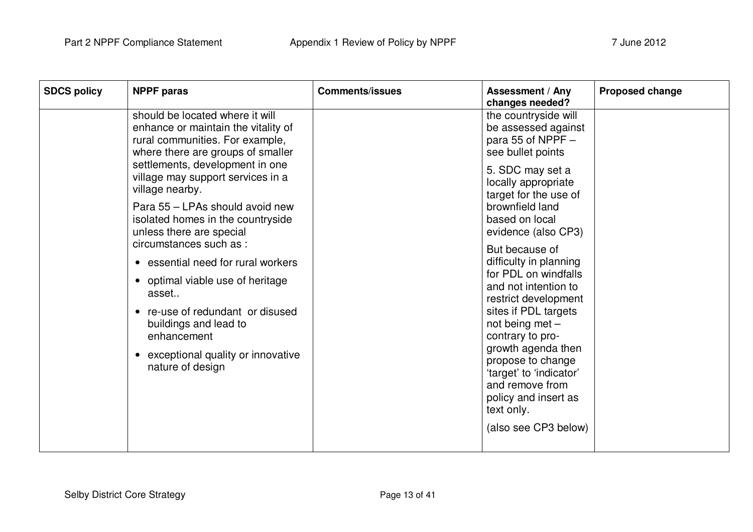| <b>SDCS policy</b>                                                                                                                  | <b>NPPF</b> paras                                                                                                                                                                           | <b>Comments/issues</b>                                                                                                      | <b>Assessment / Any</b><br>changes needed?                                            | <b>Proposed change</b> |
|-------------------------------------------------------------------------------------------------------------------------------------|---------------------------------------------------------------------------------------------------------------------------------------------------------------------------------------------|-----------------------------------------------------------------------------------------------------------------------------|---------------------------------------------------------------------------------------|------------------------|
|                                                                                                                                     | should be located where it will<br>enhance or maintain the vitality of<br>rural communities. For example,<br>where there are groups of smaller                                              |                                                                                                                             | the countryside will<br>be assessed against<br>para 55 of NPPF -<br>see bullet points |                        |
|                                                                                                                                     | settlements, development in one<br>village may support services in a<br>village nearby.<br>Para 55 - LPAs should avoid new<br>isolated homes in the countryside<br>unless there are special |                                                                                                                             | 5. SDC may set a<br>locally appropriate<br>target for the use of                      |                        |
|                                                                                                                                     |                                                                                                                                                                                             |                                                                                                                             | brownfield land<br>based on local<br>evidence (also CP3)                              |                        |
|                                                                                                                                     | circumstances such as :<br>• essential need for rural workers                                                                                                                               |                                                                                                                             | But because of<br>difficulty in planning<br>for PDL on windfalls                      |                        |
|                                                                                                                                     | • optimal viable use of heritage<br>asset                                                                                                                                                   |                                                                                                                             | and not intention to<br>restrict development                                          |                        |
| • re-use of redundant or disused<br>buildings and lead to<br>enhancement<br>• exceptional quality or innovative<br>nature of design |                                                                                                                                                                                             |                                                                                                                             | sites if PDL targets<br>not being met $-$<br>contrary to pro-                         |                        |
|                                                                                                                                     |                                                                                                                                                                                             | growth agenda then<br>propose to change<br>'target' to 'indicator'<br>and remove from<br>policy and insert as<br>text only. |                                                                                       |                        |
|                                                                                                                                     |                                                                                                                                                                                             |                                                                                                                             | (also see CP3 below)                                                                  |                        |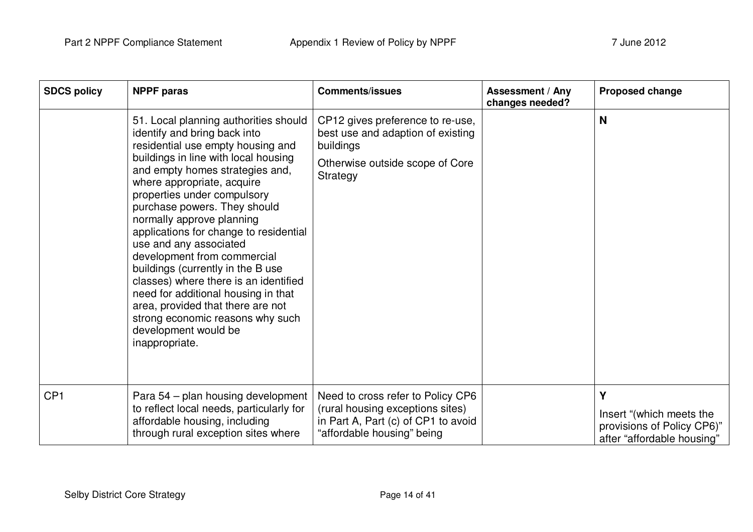| <b>SDCS policy</b> | <b>NPPF</b> paras                                                                                                                                                                                                                                                                                                                                                                                                                                                                                                                                                                                                                                          | <b>Comments/issues</b>                                                                                                                     | <b>Assessment / Any</b><br>changes needed? | <b>Proposed change</b>                                                                    |
|--------------------|------------------------------------------------------------------------------------------------------------------------------------------------------------------------------------------------------------------------------------------------------------------------------------------------------------------------------------------------------------------------------------------------------------------------------------------------------------------------------------------------------------------------------------------------------------------------------------------------------------------------------------------------------------|--------------------------------------------------------------------------------------------------------------------------------------------|--------------------------------------------|-------------------------------------------------------------------------------------------|
|                    | 51. Local planning authorities should<br>identify and bring back into<br>residential use empty housing and<br>buildings in line with local housing<br>and empty homes strategies and,<br>where appropriate, acquire<br>properties under compulsory<br>purchase powers. They should<br>normally approve planning<br>applications for change to residential<br>use and any associated<br>development from commercial<br>buildings (currently in the B use<br>classes) where there is an identified<br>need for additional housing in that<br>area, provided that there are not<br>strong economic reasons why such<br>development would be<br>inappropriate. | CP12 gives preference to re-use,<br>best use and adaption of existing<br>buildings<br>Otherwise outside scope of Core<br>Strategy          |                                            | N                                                                                         |
| CP <sub>1</sub>    | Para 54 – plan housing development<br>to reflect local needs, particularly for<br>affordable housing, including<br>through rural exception sites where                                                                                                                                                                                                                                                                                                                                                                                                                                                                                                     | Need to cross refer to Policy CP6<br>(rural housing exceptions sites)<br>in Part A, Part (c) of CP1 to avoid<br>"affordable housing" being |                                            | Υ<br>Insert "(which meets the<br>provisions of Policy CP6)"<br>after "affordable housing" |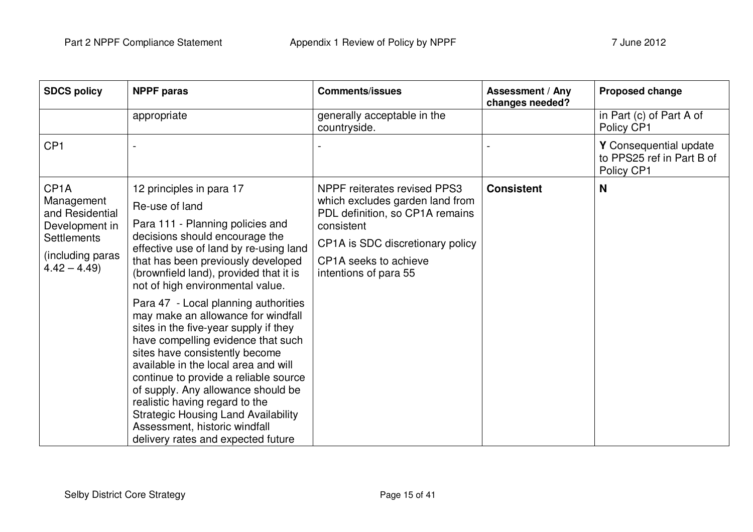| <b>SDCS policy</b>                                                                                                       | <b>NPPF</b> paras                                                                                                                                                                                                                                                                                                                                                                                                                                                                                                                                                                                                                                                                                                                                           | <b>Comments/issues</b>                                                                                                                                                                                        | <b>Assessment / Any</b><br>changes needed? | <b>Proposed change</b>                                            |
|--------------------------------------------------------------------------------------------------------------------------|-------------------------------------------------------------------------------------------------------------------------------------------------------------------------------------------------------------------------------------------------------------------------------------------------------------------------------------------------------------------------------------------------------------------------------------------------------------------------------------------------------------------------------------------------------------------------------------------------------------------------------------------------------------------------------------------------------------------------------------------------------------|---------------------------------------------------------------------------------------------------------------------------------------------------------------------------------------------------------------|--------------------------------------------|-------------------------------------------------------------------|
|                                                                                                                          | appropriate                                                                                                                                                                                                                                                                                                                                                                                                                                                                                                                                                                                                                                                                                                                                                 | generally acceptable in the<br>countryside.                                                                                                                                                                   |                                            | in Part (c) of Part A of<br>Policy CP1                            |
| CP <sub>1</sub>                                                                                                          |                                                                                                                                                                                                                                                                                                                                                                                                                                                                                                                                                                                                                                                                                                                                                             |                                                                                                                                                                                                               |                                            | Y Consequential update<br>to PPS25 ref in Part B of<br>Policy CP1 |
| CP <sub>1</sub> A<br>Management<br>and Residential<br>Development in<br>Settlements<br>(including paras<br>$4.42 - 4.49$ | 12 principles in para 17<br>Re-use of land<br>Para 111 - Planning policies and<br>decisions should encourage the<br>effective use of land by re-using land<br>that has been previously developed<br>(brownfield land), provided that it is<br>not of high environmental value.<br>Para 47 - Local planning authorities<br>may make an allowance for windfall<br>sites in the five-year supply if they<br>have compelling evidence that such<br>sites have consistently become<br>available in the local area and will<br>continue to provide a reliable source<br>of supply. Any allowance should be<br>realistic having regard to the<br><b>Strategic Housing Land Availability</b><br>Assessment, historic windfall<br>delivery rates and expected future | <b>NPPF</b> reiterates revised PPS3<br>which excludes garden land from<br>PDL definition, so CP1A remains<br>consistent<br>CP1A is SDC discretionary policy<br>CP1A seeks to achieve<br>intentions of para 55 | <b>Consistent</b>                          | <b>N</b>                                                          |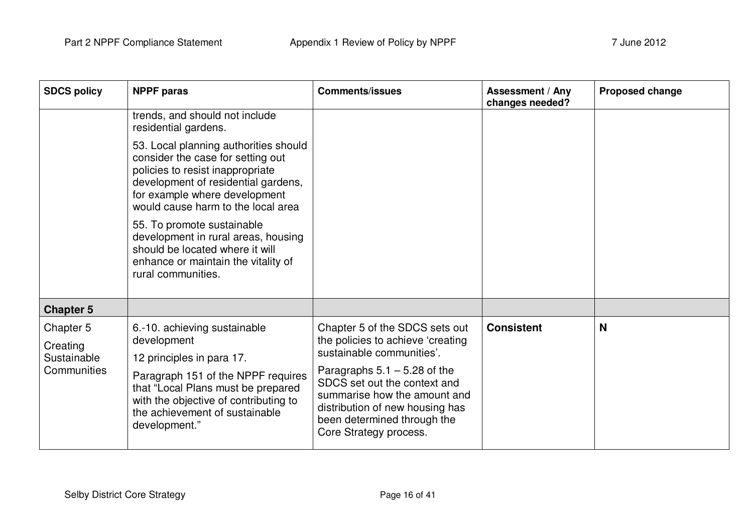| <b>SDCS policy</b>                                  | <b>NPPF paras</b>                                                                                                                                                                                                                                                                                                                                                                                 | <b>Comments/issues</b>                                                                                                                                                                                                                                                                         | <b>Assessment / Any</b><br>changes needed? | Proposed change |
|-----------------------------------------------------|---------------------------------------------------------------------------------------------------------------------------------------------------------------------------------------------------------------------------------------------------------------------------------------------------------------------------------------------------------------------------------------------------|------------------------------------------------------------------------------------------------------------------------------------------------------------------------------------------------------------------------------------------------------------------------------------------------|--------------------------------------------|-----------------|
|                                                     | trends, and should not include<br>residential gardens.                                                                                                                                                                                                                                                                                                                                            |                                                                                                                                                                                                                                                                                                |                                            |                 |
|                                                     | 53. Local planning authorities should<br>consider the case for setting out<br>policies to resist inappropriate<br>development of residential gardens,<br>for example where development<br>would cause harm to the local area<br>55. To promote sustainable<br>development in rural areas, housing<br>should be located where it will<br>enhance or maintain the vitality of<br>rural communities. |                                                                                                                                                                                                                                                                                                |                                            |                 |
| <b>Chapter 5</b>                                    |                                                                                                                                                                                                                                                                                                                                                                                                   |                                                                                                                                                                                                                                                                                                |                                            |                 |
| Chapter 5<br>Creating<br>Sustainable<br>Communities | 6.-10. achieving sustainable<br>development<br>12 principles in para 17.<br>Paragraph 151 of the NPPF requires<br>that "Local Plans must be prepared<br>with the objective of contributing to<br>the achievement of sustainable<br>development."                                                                                                                                                  | Chapter 5 of the SDCS sets out<br>the policies to achieve 'creating<br>sustainable communities'.<br>Paragraphs $5.1 - 5.28$ of the<br>SDCS set out the context and<br>summarise how the amount and<br>distribution of new housing has<br>been determined through the<br>Core Strategy process. | <b>Consistent</b>                          | N               |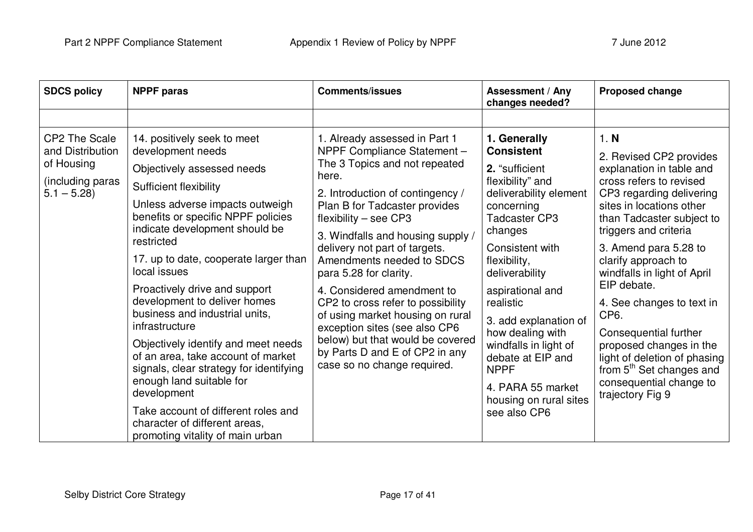| <b>SDCS policy</b>                                                                  | <b>NPPF</b> paras                                                                                                                                                                                                                                                                                                                                                                                                                                                                                                                                                                                                                                                                                     | <b>Comments/issues</b>                                                                                                                                                                                                                                                                                                                                                                                                                                                                                                                                                           | Assessment / Any<br>changes needed?                                                                                                                                                                                                                                                                                                                                                                        | Proposed change                                                                                                                                                                                                                                                                                                                                                                                                                                                                                                                 |
|-------------------------------------------------------------------------------------|-------------------------------------------------------------------------------------------------------------------------------------------------------------------------------------------------------------------------------------------------------------------------------------------------------------------------------------------------------------------------------------------------------------------------------------------------------------------------------------------------------------------------------------------------------------------------------------------------------------------------------------------------------------------------------------------------------|----------------------------------------------------------------------------------------------------------------------------------------------------------------------------------------------------------------------------------------------------------------------------------------------------------------------------------------------------------------------------------------------------------------------------------------------------------------------------------------------------------------------------------------------------------------------------------|------------------------------------------------------------------------------------------------------------------------------------------------------------------------------------------------------------------------------------------------------------------------------------------------------------------------------------------------------------------------------------------------------------|---------------------------------------------------------------------------------------------------------------------------------------------------------------------------------------------------------------------------------------------------------------------------------------------------------------------------------------------------------------------------------------------------------------------------------------------------------------------------------------------------------------------------------|
|                                                                                     |                                                                                                                                                                                                                                                                                                                                                                                                                                                                                                                                                                                                                                                                                                       |                                                                                                                                                                                                                                                                                                                                                                                                                                                                                                                                                                                  |                                                                                                                                                                                                                                                                                                                                                                                                            |                                                                                                                                                                                                                                                                                                                                                                                                                                                                                                                                 |
| CP2 The Scale<br>and Distribution<br>of Housing<br>(including paras<br>$5.1 - 5.28$ | 14. positively seek to meet<br>development needs<br>Objectively assessed needs<br><b>Sufficient flexibility</b><br>Unless adverse impacts outweigh<br>benefits or specific NPPF policies<br>indicate development should be<br>restricted<br>17. up to date, cooperate larger than<br>local issues<br>Proactively drive and support<br>development to deliver homes<br>business and industrial units,<br>infrastructure<br>Objectively identify and meet needs<br>of an area, take account of market<br>signals, clear strategy for identifying<br>enough land suitable for<br>development<br>Take account of different roles and<br>character of different areas,<br>promoting vitality of main urban | 1. Already assessed in Part 1<br>NPPF Compliance Statement -<br>The 3 Topics and not repeated<br>here.<br>2. Introduction of contingency /<br>Plan B for Tadcaster provides<br>flexibility $-$ see CP3<br>3. Windfalls and housing supply /<br>delivery not part of targets.<br>Amendments needed to SDCS<br>para 5.28 for clarity.<br>4. Considered amendment to<br>CP2 to cross refer to possibility<br>of using market housing on rural<br>exception sites (see also CP6<br>below) but that would be covered<br>by Parts D and E of CP2 in any<br>case so no change required. | 1. Generally<br><b>Consistent</b><br>2. "sufficient<br>flexibility" and<br>deliverability element<br>concerning<br>Tadcaster CP3<br>changes<br>Consistent with<br>flexibility,<br>deliverability<br>aspirational and<br>realistic<br>3. add explanation of<br>how dealing with<br>windfalls in light of<br>debate at EIP and<br><b>NPPF</b><br>4. PARA 55 market<br>housing on rural sites<br>see also CP6 | 1. N<br>2. Revised CP2 provides<br>explanation in table and<br>cross refers to revised<br>CP3 regarding delivering<br>sites in locations other<br>than Tadcaster subject to<br>triggers and criteria<br>3. Amend para 5.28 to<br>clarify approach to<br>windfalls in light of April<br>EIP debate.<br>4. See changes to text in<br>CP <sub>6</sub> .<br>Consequential further<br>proposed changes in the<br>light of deletion of phasing<br>from 5 <sup>th</sup> Set changes and<br>consequential change to<br>trajectory Fig 9 |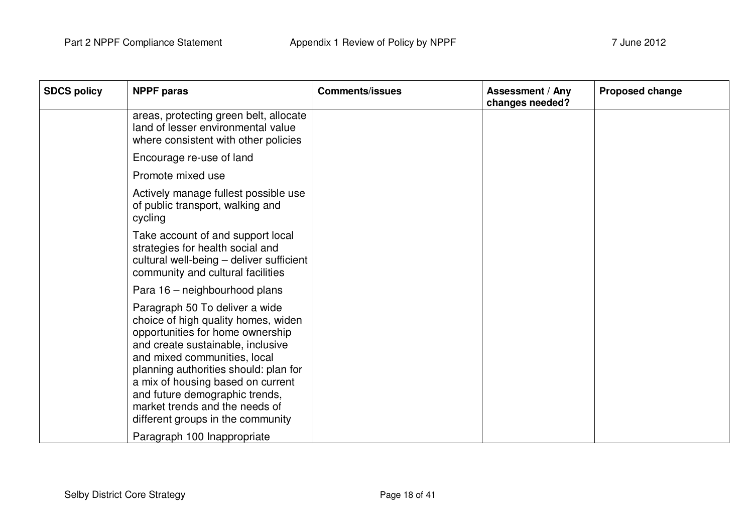| <b>SDCS policy</b> | <b>NPPF</b> paras                                                                                                                                                                                                                                                                                                                                                     | <b>Comments/issues</b> | <b>Assessment / Any</b><br>changes needed? | <b>Proposed change</b> |
|--------------------|-----------------------------------------------------------------------------------------------------------------------------------------------------------------------------------------------------------------------------------------------------------------------------------------------------------------------------------------------------------------------|------------------------|--------------------------------------------|------------------------|
|                    | areas, protecting green belt, allocate<br>land of lesser environmental value<br>where consistent with other policies                                                                                                                                                                                                                                                  |                        |                                            |                        |
|                    | Encourage re-use of land                                                                                                                                                                                                                                                                                                                                              |                        |                                            |                        |
|                    | Promote mixed use                                                                                                                                                                                                                                                                                                                                                     |                        |                                            |                        |
|                    | Actively manage fullest possible use<br>of public transport, walking and<br>cycling                                                                                                                                                                                                                                                                                   |                        |                                            |                        |
|                    | Take account of and support local<br>strategies for health social and<br>cultural well-being - deliver sufficient<br>community and cultural facilities                                                                                                                                                                                                                |                        |                                            |                        |
|                    | Para 16 - neighbourhood plans                                                                                                                                                                                                                                                                                                                                         |                        |                                            |                        |
|                    | Paragraph 50 To deliver a wide<br>choice of high quality homes, widen<br>opportunities for home ownership<br>and create sustainable, inclusive<br>and mixed communities, local<br>planning authorities should: plan for<br>a mix of housing based on current<br>and future demographic trends,<br>market trends and the needs of<br>different groups in the community |                        |                                            |                        |
|                    | Paragraph 100 Inappropriate                                                                                                                                                                                                                                                                                                                                           |                        |                                            |                        |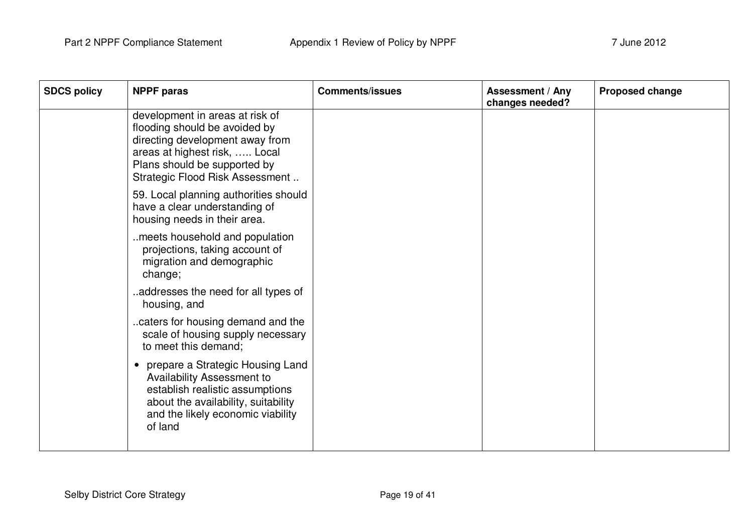| <b>SDCS policy</b> | <b>NPPF</b> paras                                                                                                                                                                                            | <b>Comments/issues</b> | <b>Assessment / Any</b><br>changes needed? | <b>Proposed change</b> |
|--------------------|--------------------------------------------------------------------------------------------------------------------------------------------------------------------------------------------------------------|------------------------|--------------------------------------------|------------------------|
|                    | development in areas at risk of<br>flooding should be avoided by<br>directing development away from<br>areas at highest risk,  Local<br>Plans should be supported by<br>Strategic Flood Risk Assessment      |                        |                                            |                        |
|                    | 59. Local planning authorities should<br>have a clear understanding of<br>housing needs in their area.                                                                                                       |                        |                                            |                        |
|                    | meets household and population<br>projections, taking account of<br>migration and demographic<br>change;                                                                                                     |                        |                                            |                        |
|                    | addresses the need for all types of<br>housing, and                                                                                                                                                          |                        |                                            |                        |
|                    | caters for housing demand and the<br>scale of housing supply necessary<br>to meet this demand;                                                                                                               |                        |                                            |                        |
|                    | prepare a Strategic Housing Land<br>$\bullet$<br><b>Availability Assessment to</b><br>establish realistic assumptions<br>about the availability, suitability<br>and the likely economic viability<br>of land |                        |                                            |                        |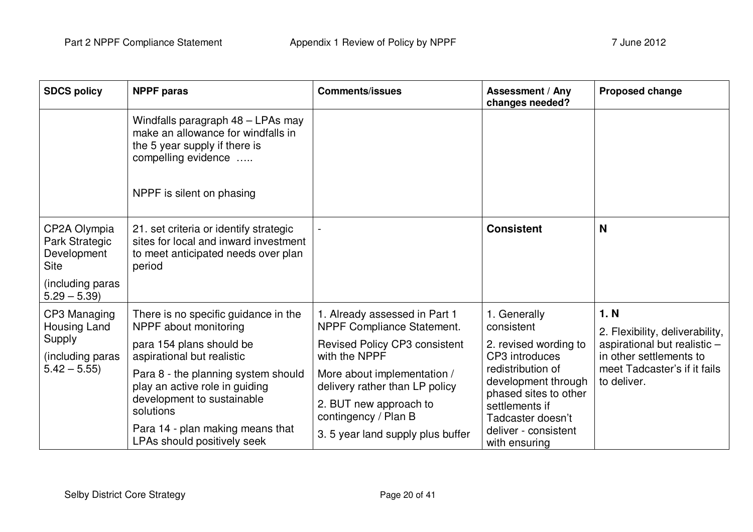| <b>SDCS policy</b>                                                                                | <b>NPPF</b> paras                                                                                                                                                                                                                           | <b>Comments/issues</b>                                                                                                                                                                                          | <b>Assessment / Any</b><br>changes needed?                                                                                                                   | Proposed change                                                                                                                                   |
|---------------------------------------------------------------------------------------------------|---------------------------------------------------------------------------------------------------------------------------------------------------------------------------------------------------------------------------------------------|-----------------------------------------------------------------------------------------------------------------------------------------------------------------------------------------------------------------|--------------------------------------------------------------------------------------------------------------------------------------------------------------|---------------------------------------------------------------------------------------------------------------------------------------------------|
|                                                                                                   | Windfalls paragraph 48 - LPAs may<br>make an allowance for windfalls in<br>the 5 year supply if there is<br>compelling evidence                                                                                                             |                                                                                                                                                                                                                 |                                                                                                                                                              |                                                                                                                                                   |
|                                                                                                   | NPPF is silent on phasing                                                                                                                                                                                                                   |                                                                                                                                                                                                                 |                                                                                                                                                              |                                                                                                                                                   |
| CP2A Olympia<br>Park Strategic<br>Development<br><b>Site</b><br>(including paras<br>$5.29 - 5.39$ | 21. set criteria or identify strategic<br>sites for local and inward investment<br>to meet anticipated needs over plan<br>period                                                                                                            |                                                                                                                                                                                                                 | <b>Consistent</b>                                                                                                                                            | N                                                                                                                                                 |
| CP3 Managing<br>Housing Land<br>Supply<br>(including paras<br>$5.42 - 5.55$                       | There is no specific guidance in the<br>NPPF about monitoring<br>para 154 plans should be<br>aspirational but realistic<br>Para 8 - the planning system should<br>play an active role in guiding<br>development to sustainable<br>solutions | 1. Already assessed in Part 1<br>NPPF Compliance Statement.<br><b>Revised Policy CP3 consistent</b><br>with the NPPF<br>More about implementation /<br>delivery rather than LP policy<br>2. BUT new approach to | 1. Generally<br>consistent<br>2. revised wording to<br>CP3 introduces<br>redistribution of<br>development through<br>phased sites to other<br>settlements if | 1. N<br>2. Flexibility, deliverability,<br>aspirational but realistic -<br>in other settlements to<br>meet Tadcaster's if it fails<br>to deliver. |
|                                                                                                   | Para 14 - plan making means that<br>LPAs should positively seek                                                                                                                                                                             | contingency / Plan B<br>3.5 year land supply plus buffer                                                                                                                                                        | Tadcaster doesn't<br>deliver - consistent<br>with ensuring                                                                                                   |                                                                                                                                                   |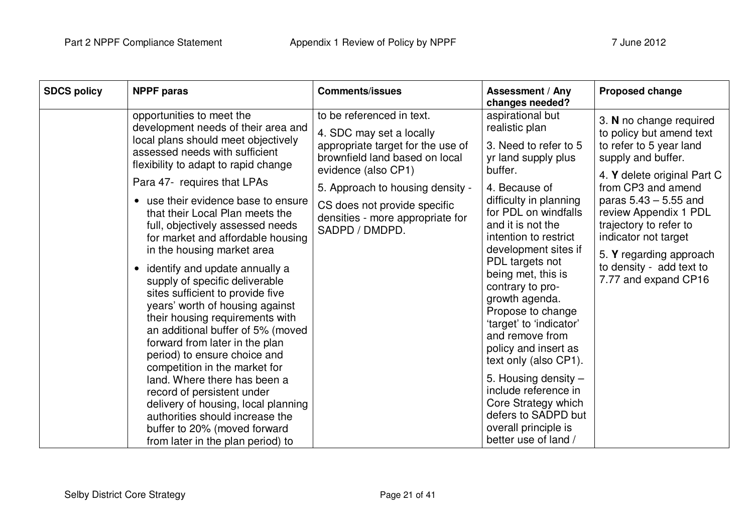| <b>SDCS policy</b> | <b>NPPF</b> paras                                                                                                                                                                                                                                                                                                                                                                                                                                                                                                                                                                                                                                                                                                                                                                                                                                                                                                                                            | <b>Comments/issues</b>                                                                                                                                                                                                                                                        | <b>Assessment / Any</b><br>changes needed?                                                                                                                                                                                                                                                                                                                                                                                                                                                                                                                                                | <b>Proposed change</b>                                                                                                                                                                                                                                                                                                                         |
|--------------------|--------------------------------------------------------------------------------------------------------------------------------------------------------------------------------------------------------------------------------------------------------------------------------------------------------------------------------------------------------------------------------------------------------------------------------------------------------------------------------------------------------------------------------------------------------------------------------------------------------------------------------------------------------------------------------------------------------------------------------------------------------------------------------------------------------------------------------------------------------------------------------------------------------------------------------------------------------------|-------------------------------------------------------------------------------------------------------------------------------------------------------------------------------------------------------------------------------------------------------------------------------|-------------------------------------------------------------------------------------------------------------------------------------------------------------------------------------------------------------------------------------------------------------------------------------------------------------------------------------------------------------------------------------------------------------------------------------------------------------------------------------------------------------------------------------------------------------------------------------------|------------------------------------------------------------------------------------------------------------------------------------------------------------------------------------------------------------------------------------------------------------------------------------------------------------------------------------------------|
|                    | opportunities to meet the<br>development needs of their area and<br>local plans should meet objectively<br>assessed needs with sufficient<br>flexibility to adapt to rapid change<br>Para 47- requires that LPAs<br>use their evidence base to ensure<br>$\bullet$<br>that their Local Plan meets the<br>full, objectively assessed needs<br>for market and affordable housing<br>in the housing market area<br>identify and update annually a<br>$\bullet$<br>supply of specific deliverable<br>sites sufficient to provide five<br>years' worth of housing against<br>their housing requirements with<br>an additional buffer of 5% (moved<br>forward from later in the plan<br>period) to ensure choice and<br>competition in the market for<br>land. Where there has been a<br>record of persistent under<br>delivery of housing, local planning<br>authorities should increase the<br>buffer to 20% (moved forward<br>from later in the plan period) to | to be referenced in text.<br>4. SDC may set a locally<br>appropriate target for the use of<br>brownfield land based on local<br>evidence (also CP1)<br>5. Approach to housing density -<br>CS does not provide specific<br>densities - more appropriate for<br>SADPD / DMDPD. | aspirational but<br>realistic plan<br>3. Need to refer to 5<br>yr land supply plus<br>buffer.<br>4. Because of<br>difficulty in planning<br>for PDL on windfalls<br>and it is not the<br>intention to restrict<br>development sites if<br>PDL targets not<br>being met, this is<br>contrary to pro-<br>growth agenda.<br>Propose to change<br>'target' to 'indicator'<br>and remove from<br>policy and insert as<br>text only (also CP1).<br>5. Housing density $-$<br>include reference in<br>Core Strategy which<br>defers to SADPD but<br>overall principle is<br>better use of land / | 3. N no change required<br>to policy but amend text<br>to refer to 5 year land<br>supply and buffer.<br>4. Y delete original Part C<br>from CP3 and amend<br>paras $5.43 - 5.55$ and<br>review Appendix 1 PDL<br>trajectory to refer to<br>indicator not target<br>5. Y regarding approach<br>to density - add text to<br>7.77 and expand CP16 |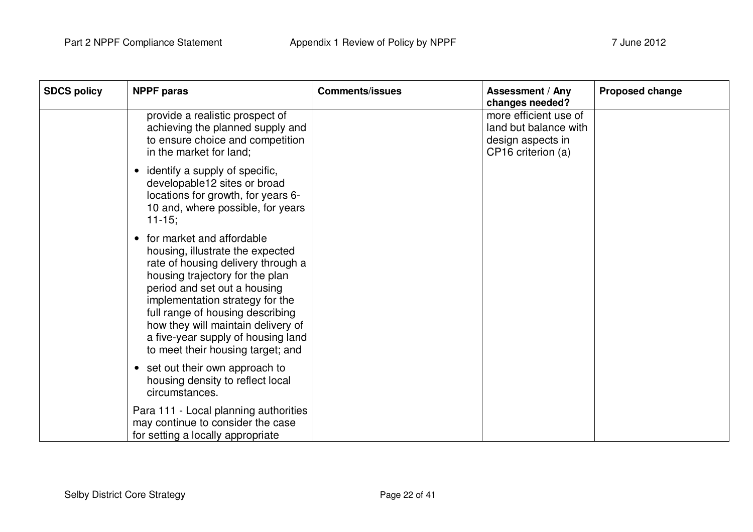| <b>SDCS policy</b> | <b>NPPF paras</b>                                                                                                                                                                                                                                                                                                                                                           | <b>Comments/issues</b> | <b>Assessment / Any</b><br>changes needed?                                                | Proposed change |
|--------------------|-----------------------------------------------------------------------------------------------------------------------------------------------------------------------------------------------------------------------------------------------------------------------------------------------------------------------------------------------------------------------------|------------------------|-------------------------------------------------------------------------------------------|-----------------|
|                    | provide a realistic prospect of<br>achieving the planned supply and<br>to ensure choice and competition<br>in the market for land:                                                                                                                                                                                                                                          |                        | more efficient use of<br>land but balance with<br>design aspects in<br>CP16 criterion (a) |                 |
|                    | identify a supply of specific,<br>$\bullet$<br>developable12 sites or broad<br>locations for growth, for years 6-<br>10 and, where possible, for years<br>$11 - 15$ ;                                                                                                                                                                                                       |                        |                                                                                           |                 |
|                    | for market and affordable<br>$\bullet$<br>housing, illustrate the expected<br>rate of housing delivery through a<br>housing trajectory for the plan<br>period and set out a housing<br>implementation strategy for the<br>full range of housing describing<br>how they will maintain delivery of<br>a five-year supply of housing land<br>to meet their housing target; and |                        |                                                                                           |                 |
|                    | set out their own approach to<br>$\bullet$<br>housing density to reflect local<br>circumstances.                                                                                                                                                                                                                                                                            |                        |                                                                                           |                 |
|                    | Para 111 - Local planning authorities<br>may continue to consider the case<br>for setting a locally appropriate                                                                                                                                                                                                                                                             |                        |                                                                                           |                 |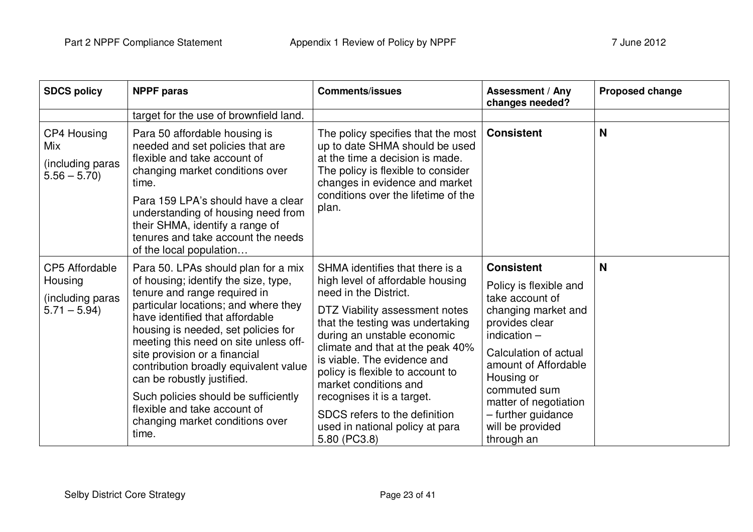| <b>SDCS policy</b>                                                    | <b>NPPF paras</b>                                                                                                                                                                                                                                                                                                                                                                                                                                                                                  | <b>Comments/issues</b>                                                                                                                                                                                                                                                                                                                                                                                                                              | <b>Assessment / Any</b><br>changes needed?                                                                                                                                                                                                                                                | Proposed change |
|-----------------------------------------------------------------------|----------------------------------------------------------------------------------------------------------------------------------------------------------------------------------------------------------------------------------------------------------------------------------------------------------------------------------------------------------------------------------------------------------------------------------------------------------------------------------------------------|-----------------------------------------------------------------------------------------------------------------------------------------------------------------------------------------------------------------------------------------------------------------------------------------------------------------------------------------------------------------------------------------------------------------------------------------------------|-------------------------------------------------------------------------------------------------------------------------------------------------------------------------------------------------------------------------------------------------------------------------------------------|-----------------|
|                                                                       | target for the use of brownfield land.                                                                                                                                                                                                                                                                                                                                                                                                                                                             |                                                                                                                                                                                                                                                                                                                                                                                                                                                     |                                                                                                                                                                                                                                                                                           |                 |
| CP4 Housing<br>Mix<br>(including paras<br>$5.56 - 5.70$               | Para 50 affordable housing is<br>needed and set policies that are<br>flexible and take account of<br>changing market conditions over<br>time.<br>Para 159 LPA's should have a clear<br>understanding of housing need from<br>their SHMA, identify a range of<br>tenures and take account the needs<br>of the local population                                                                                                                                                                      | The policy specifies that the most<br>up to date SHMA should be used<br>at the time a decision is made.<br>The policy is flexible to consider<br>changes in evidence and market<br>conditions over the lifetime of the<br>plan.                                                                                                                                                                                                                     | <b>Consistent</b>                                                                                                                                                                                                                                                                         | N               |
| <b>CP5 Affordable</b><br>Housing<br>(including paras<br>$5.71 - 5.94$ | Para 50. LPAs should plan for a mix<br>of housing; identify the size, type,<br>tenure and range required in<br>particular locations; and where they<br>have identified that affordable<br>housing is needed, set policies for<br>meeting this need on site unless off-<br>site provision or a financial<br>contribution broadly equivalent value<br>can be robustly justified.<br>Such policies should be sufficiently<br>flexible and take account of<br>changing market conditions over<br>time. | SHMA identifies that there is a<br>high level of affordable housing<br>need in the District.<br>DTZ Viability assessment notes<br>that the testing was undertaking<br>during an unstable economic<br>climate and that at the peak 40%<br>is viable. The evidence and<br>policy is flexible to account to<br>market conditions and<br>recognises it is a target.<br>SDCS refers to the definition<br>used in national policy at para<br>5.80 (PC3.8) | <b>Consistent</b><br>Policy is flexible and<br>take account of<br>changing market and<br>provides clear<br>indication $-$<br>Calculation of actual<br>amount of Affordable<br>Housing or<br>commuted sum<br>matter of negotiation<br>- further guidance<br>will be provided<br>through an | N               |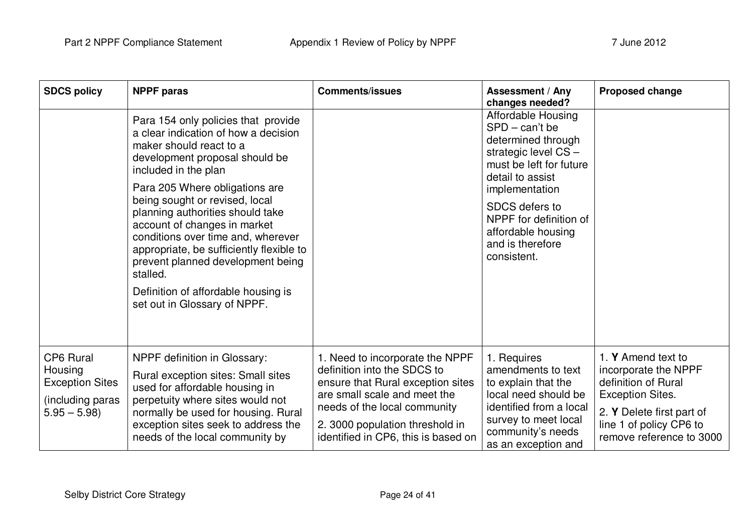| <b>SDCS policy</b>                                                                         | <b>NPPF</b> paras                                                                                                                                                                                                                                                                                                                                                                                                                                                                                                  | <b>Comments/issues</b>                                                                                                                                                                                                                        | <b>Assessment / Any</b><br>changes needed?                                                                                                                                                                                                                | <b>Proposed change</b>                                                                                                                                                           |
|--------------------------------------------------------------------------------------------|--------------------------------------------------------------------------------------------------------------------------------------------------------------------------------------------------------------------------------------------------------------------------------------------------------------------------------------------------------------------------------------------------------------------------------------------------------------------------------------------------------------------|-----------------------------------------------------------------------------------------------------------------------------------------------------------------------------------------------------------------------------------------------|-----------------------------------------------------------------------------------------------------------------------------------------------------------------------------------------------------------------------------------------------------------|----------------------------------------------------------------------------------------------------------------------------------------------------------------------------------|
|                                                                                            | Para 154 only policies that provide<br>a clear indication of how a decision<br>maker should react to a<br>development proposal should be<br>included in the plan<br>Para 205 Where obligations are<br>being sought or revised, local<br>planning authorities should take<br>account of changes in market<br>conditions over time and, wherever<br>appropriate, be sufficiently flexible to<br>prevent planned development being<br>stalled.<br>Definition of affordable housing is<br>set out in Glossary of NPPF. |                                                                                                                                                                                                                                               | Affordable Housing<br>$SPD - can't be$<br>determined through<br>strategic level CS-<br>must be left for future<br>detail to assist<br>implementation<br>SDCS defers to<br>NPPF for definition of<br>affordable housing<br>and is therefore<br>consistent. |                                                                                                                                                                                  |
| <b>CP6 Rural</b><br>Housing<br><b>Exception Sites</b><br>(including paras<br>$5.95 - 5.98$ | <b>NPPF</b> definition in Glossary:<br>Rural exception sites: Small sites<br>used for affordable housing in<br>perpetuity where sites would not<br>normally be used for housing. Rural<br>exception sites seek to address the<br>needs of the local community by                                                                                                                                                                                                                                                   | 1. Need to incorporate the NPPF<br>definition into the SDCS to<br>ensure that Rural exception sites<br>are small scale and meet the<br>needs of the local community<br>2. 3000 population threshold in<br>identified in CP6, this is based on | 1. Requires<br>amendments to text<br>to explain that the<br>local need should be<br>identified from a local<br>survey to meet local<br>community's needs<br>as an exception and                                                                           | 1. Y Amend text to<br>incorporate the NPPF<br>definition of Rural<br><b>Exception Sites.</b><br>2. Y Delete first part of<br>line 1 of policy CP6 to<br>remove reference to 3000 |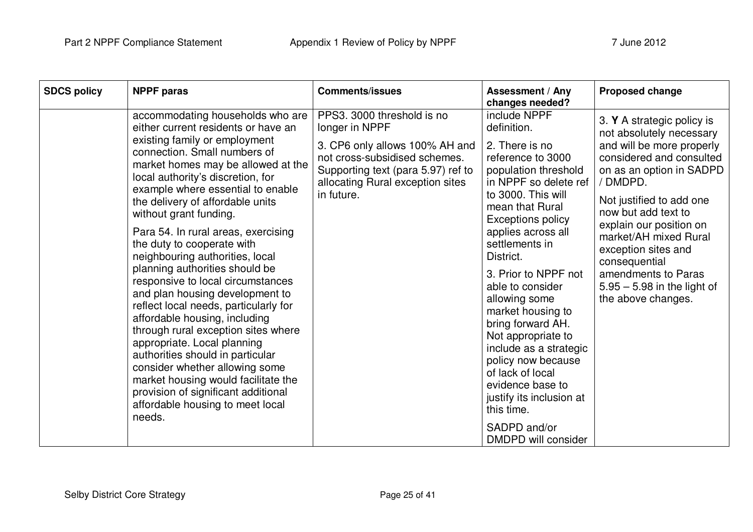| <b>SDCS policy</b><br><b>NPPF</b> paras                                                                                                                                                                                                                                                                                                                                                                                                                                                                                                                                                                                                                                                                                                                                                                                                                                                    | <b>Comments/issues</b>                                                                                                                                                                                  | Assessment / Any<br>changes needed?                                                                                                                                                                                                                                                                                                                                                                                                                                                                                                                 | <b>Proposed change</b>                                                                                                                                                                                                                                                                                                                                                               |
|--------------------------------------------------------------------------------------------------------------------------------------------------------------------------------------------------------------------------------------------------------------------------------------------------------------------------------------------------------------------------------------------------------------------------------------------------------------------------------------------------------------------------------------------------------------------------------------------------------------------------------------------------------------------------------------------------------------------------------------------------------------------------------------------------------------------------------------------------------------------------------------------|---------------------------------------------------------------------------------------------------------------------------------------------------------------------------------------------------------|-----------------------------------------------------------------------------------------------------------------------------------------------------------------------------------------------------------------------------------------------------------------------------------------------------------------------------------------------------------------------------------------------------------------------------------------------------------------------------------------------------------------------------------------------------|--------------------------------------------------------------------------------------------------------------------------------------------------------------------------------------------------------------------------------------------------------------------------------------------------------------------------------------------------------------------------------------|
| accommodating households who are<br>either current residents or have an<br>existing family or employment<br>connection. Small numbers of<br>market homes may be allowed at the<br>local authority's discretion, for<br>example where essential to enable<br>the delivery of affordable units<br>without grant funding.<br>Para 54. In rural areas, exercising<br>the duty to cooperate with<br>neighbouring authorities, local<br>planning authorities should be<br>responsive to local circumstances<br>and plan housing development to<br>reflect local needs, particularly for<br>affordable housing, including<br>through rural exception sites where<br>appropriate. Local planning<br>authorities should in particular<br>consider whether allowing some<br>market housing would facilitate the<br>provision of significant additional<br>affordable housing to meet local<br>needs. | PPS3. 3000 threshold is no<br>longer in NPPF<br>3. CP6 only allows 100% AH and<br>not cross-subsidised schemes.<br>Supporting text (para 5.97) ref to<br>allocating Rural exception sites<br>in future. | include NPPF<br>definition.<br>2. There is no<br>reference to 3000<br>population threshold<br>in NPPF so delete ref<br>to 3000. This will<br>mean that Rural<br><b>Exceptions policy</b><br>applies across all<br>settlements in<br>District.<br>3. Prior to NPPF not<br>able to consider<br>allowing some<br>market housing to<br>bring forward AH.<br>Not appropriate to<br>include as a strategic<br>policy now because<br>of lack of local<br>evidence base to<br>justify its inclusion at<br>this time.<br>SADPD and/or<br>DMDPD will consider | 3. Y A strategic policy is<br>not absolutely necessary<br>and will be more properly<br>considered and consulted<br>on as an option in SADPD<br>/ DMDPD.<br>Not justified to add one<br>now but add text to<br>explain our position on<br>market/AH mixed Rural<br>exception sites and<br>consequential<br>amendments to Paras<br>$5.95 - 5.98$ in the light of<br>the above changes. |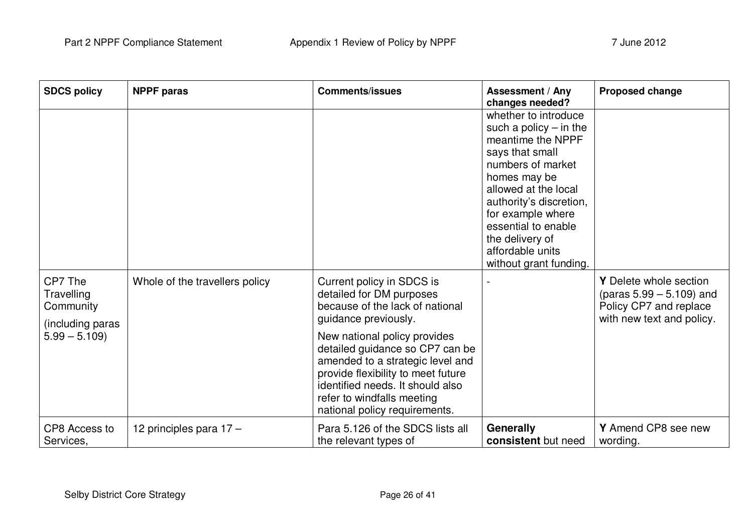| <b>SDCS policy</b>                                                       | <b>NPPF paras</b>              | <b>Comments/issues</b>                                                                                                                                                                                                                                                                                                                                           | <b>Assessment / Any</b><br>changes needed?                                                                                                                                                                                                                                                    | <b>Proposed change</b>                                                                                       |
|--------------------------------------------------------------------------|--------------------------------|------------------------------------------------------------------------------------------------------------------------------------------------------------------------------------------------------------------------------------------------------------------------------------------------------------------------------------------------------------------|-----------------------------------------------------------------------------------------------------------------------------------------------------------------------------------------------------------------------------------------------------------------------------------------------|--------------------------------------------------------------------------------------------------------------|
|                                                                          |                                |                                                                                                                                                                                                                                                                                                                                                                  | whether to introduce<br>such a policy $-$ in the<br>meantime the NPPF<br>says that small<br>numbers of market<br>homes may be<br>allowed at the local<br>authority's discretion,<br>for example where<br>essential to enable<br>the delivery of<br>affordable units<br>without grant funding. |                                                                                                              |
| CP7 The<br>Travelling<br>Community<br>(including paras<br>$5.99 - 5.109$ | Whole of the travellers policy | Current policy in SDCS is<br>detailed for DM purposes<br>because of the lack of national<br>guidance previously.<br>New national policy provides<br>detailed guidance so CP7 can be<br>amended to a strategic level and<br>provide flexibility to meet future<br>identified needs. It should also<br>refer to windfalls meeting<br>national policy requirements. |                                                                                                                                                                                                                                                                                               | Y Delete whole section<br>(paras $5.99 - 5.109$ ) and<br>Policy CP7 and replace<br>with new text and policy. |
| CP8 Access to<br>Services.                                               | 12 principles para 17 -        | Para 5.126 of the SDCS lists all<br>the relevant types of                                                                                                                                                                                                                                                                                                        | <b>Generally</b><br>consistent but need                                                                                                                                                                                                                                                       | Y Amend CP8 see new<br>wording.                                                                              |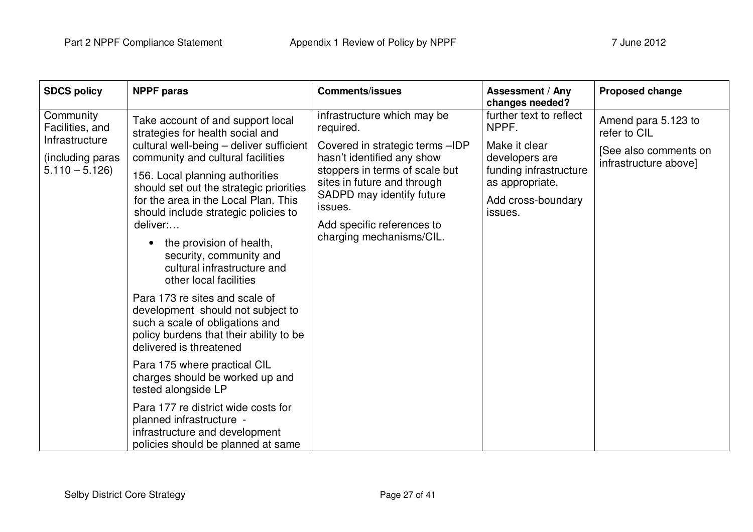| <b>SDCS policy</b>                             | <b>NPPF</b> paras                                                                                                                                                                                                                                                                                                                                                                        | <b>Comments/issues</b>                                                                          | <b>Assessment / Any</b><br>changes needed?                | <b>Proposed change</b>                         |
|------------------------------------------------|------------------------------------------------------------------------------------------------------------------------------------------------------------------------------------------------------------------------------------------------------------------------------------------------------------------------------------------------------------------------------------------|-------------------------------------------------------------------------------------------------|-----------------------------------------------------------|------------------------------------------------|
| Community<br>Facilities, and<br>Infrastructure | Take account of and support local<br>strategies for health social and                                                                                                                                                                                                                                                                                                                    | infrastructure which may be<br>required.                                                        | further text to reflect<br>NPPF.                          | Amend para 5.123 to<br>refer to CIL            |
| (including paras<br>$5.110 - 5.126$            | cultural well-being - deliver sufficient<br>community and cultural facilities                                                                                                                                                                                                                                                                                                            | Covered in strategic terms -IDP<br>hasn't identified any show<br>stoppers in terms of scale but | Make it clear<br>developers are<br>funding infrastructure | [See also comments on<br>infrastructure above] |
|                                                | 156. Local planning authorities<br>should set out the strategic priorities                                                                                                                                                                                                                                                                                                               | sites in future and through<br>SADPD may identify future                                        | as appropriate.<br>Add cross-boundary                     |                                                |
|                                                | for the area in the Local Plan. This<br>should include strategic policies to<br>deliver:<br>the provision of health,<br>security, community and<br>cultural infrastructure and<br>other local facilities<br>Para 173 re sites and scale of<br>development should not subject to<br>such a scale of obligations and<br>policy burdens that their ability to be<br>delivered is threatened | issues.<br>Add specific references to                                                           | issues.                                                   |                                                |
|                                                |                                                                                                                                                                                                                                                                                                                                                                                          | charging mechanisms/CIL.                                                                        |                                                           |                                                |
|                                                |                                                                                                                                                                                                                                                                                                                                                                                          |                                                                                                 |                                                           |                                                |
|                                                | Para 175 where practical CIL<br>charges should be worked up and<br>tested alongside LP                                                                                                                                                                                                                                                                                                   |                                                                                                 |                                                           |                                                |
|                                                | Para 177 re district wide costs for<br>planned infrastructure -<br>infrastructure and development<br>policies should be planned at same                                                                                                                                                                                                                                                  |                                                                                                 |                                                           |                                                |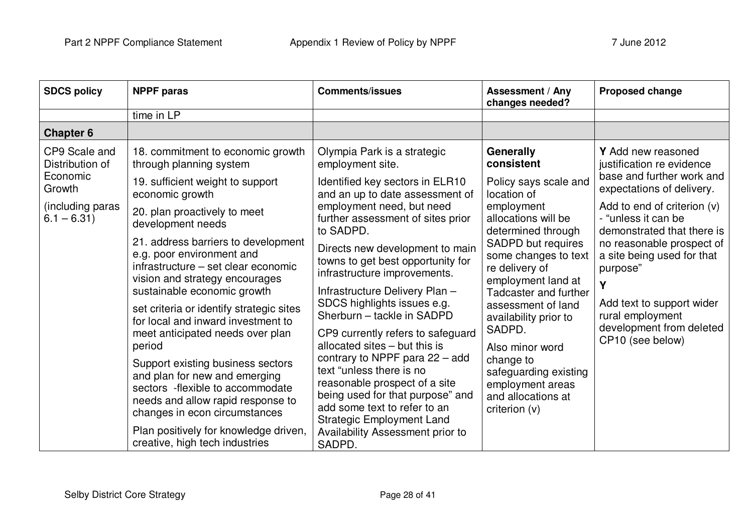| <b>SDCS policy</b>                                                                         | <b>NPPF</b> paras                                                                                                                                                                                                                                                                                                                                                                                                                                                                                                                                                                                                                                                                                                                               | <b>Comments/issues</b>                                                                                                                                                                                                                                                                                                                                                                                                                                                                                                                                                                                                                                                                                                                          | <b>Assessment / Any</b><br>changes needed?                                                                                                                                                                                                                                                                                                                                                                                           | <b>Proposed change</b>                                                                                                                                                                                                                                                                                                                                                       |
|--------------------------------------------------------------------------------------------|-------------------------------------------------------------------------------------------------------------------------------------------------------------------------------------------------------------------------------------------------------------------------------------------------------------------------------------------------------------------------------------------------------------------------------------------------------------------------------------------------------------------------------------------------------------------------------------------------------------------------------------------------------------------------------------------------------------------------------------------------|-------------------------------------------------------------------------------------------------------------------------------------------------------------------------------------------------------------------------------------------------------------------------------------------------------------------------------------------------------------------------------------------------------------------------------------------------------------------------------------------------------------------------------------------------------------------------------------------------------------------------------------------------------------------------------------------------------------------------------------------------|--------------------------------------------------------------------------------------------------------------------------------------------------------------------------------------------------------------------------------------------------------------------------------------------------------------------------------------------------------------------------------------------------------------------------------------|------------------------------------------------------------------------------------------------------------------------------------------------------------------------------------------------------------------------------------------------------------------------------------------------------------------------------------------------------------------------------|
|                                                                                            | time in LP                                                                                                                                                                                                                                                                                                                                                                                                                                                                                                                                                                                                                                                                                                                                      |                                                                                                                                                                                                                                                                                                                                                                                                                                                                                                                                                                                                                                                                                                                                                 |                                                                                                                                                                                                                                                                                                                                                                                                                                      |                                                                                                                                                                                                                                                                                                                                                                              |
| <b>Chapter 6</b>                                                                           |                                                                                                                                                                                                                                                                                                                                                                                                                                                                                                                                                                                                                                                                                                                                                 |                                                                                                                                                                                                                                                                                                                                                                                                                                                                                                                                                                                                                                                                                                                                                 |                                                                                                                                                                                                                                                                                                                                                                                                                                      |                                                                                                                                                                                                                                                                                                                                                                              |
| CP9 Scale and<br>Distribution of<br>Economic<br>Growth<br>(including paras<br>$6.1 - 6.31$ | 18. commitment to economic growth<br>through planning system<br>19. sufficient weight to support<br>economic growth<br>20. plan proactively to meet<br>development needs<br>21. address barriers to development<br>e.g. poor environment and<br>infrastructure - set clear economic<br>vision and strategy encourages<br>sustainable economic growth<br>set criteria or identify strategic sites<br>for local and inward investment to<br>meet anticipated needs over plan<br>period<br>Support existing business sectors<br>and plan for new and emerging<br>sectors -flexible to accommodate<br>needs and allow rapid response to<br>changes in econ circumstances<br>Plan positively for knowledge driven,<br>creative, high tech industries | Olympia Park is a strategic<br>employment site.<br>Identified key sectors in ELR10<br>and an up to date assessment of<br>employment need, but need<br>further assessment of sites prior<br>to SADPD.<br>Directs new development to main<br>towns to get best opportunity for<br>infrastructure improvements.<br>Infrastructure Delivery Plan -<br>SDCS highlights issues e.g.<br>Sherburn - tackle in SADPD<br>CP9 currently refers to safeguard<br>allocated sites – but this is<br>contrary to NPPF para $22 - add$<br>text "unless there is no<br>reasonable prospect of a site<br>being used for that purpose" and<br>add some text to refer to an<br><b>Strategic Employment Land</b><br><b>Availability Assessment prior to</b><br>SADPD. | <b>Generally</b><br>consistent<br>Policy says scale and<br>location of<br>employment<br>allocations will be<br>determined through<br><b>SADPD but requires</b><br>some changes to text<br>re delivery of<br>employment land at<br>Tadcaster and further<br>assessment of land<br>availability prior to<br>SADPD.<br>Also minor word<br>change to<br>safeguarding existing<br>employment areas<br>and allocations at<br>criterion (v) | Y Add new reasoned<br>justification re evidence<br>base and further work and<br>expectations of delivery.<br>Add to end of criterion $(v)$<br>- "unless it can be<br>demonstrated that there is<br>no reasonable prospect of<br>a site being used for that<br>purpose"<br>γ<br>Add text to support wider<br>rural employment<br>development from deleted<br>CP10 (see below) |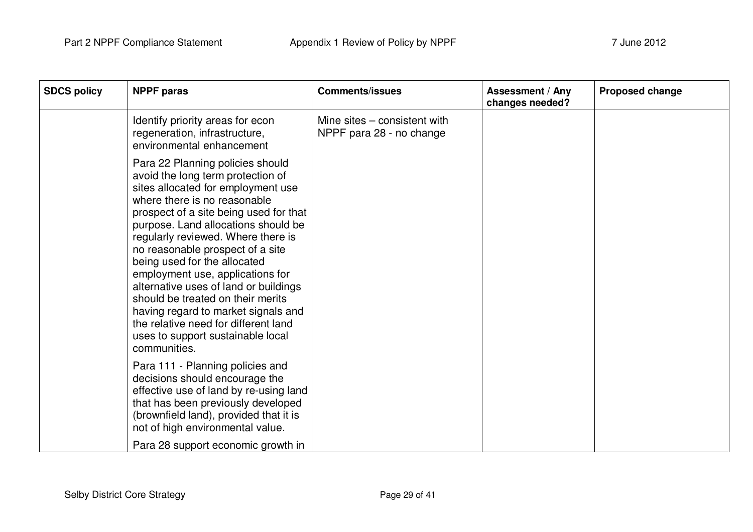| <b>SDCS policy</b> | <b>NPPF</b> paras                                                                                                                                                                                                                                                                                                                                                                                                                                                                                                                                                                            | <b>Comments/issues</b>                                   | <b>Assessment / Any</b><br>changes needed? | <b>Proposed change</b> |
|--------------------|----------------------------------------------------------------------------------------------------------------------------------------------------------------------------------------------------------------------------------------------------------------------------------------------------------------------------------------------------------------------------------------------------------------------------------------------------------------------------------------------------------------------------------------------------------------------------------------------|----------------------------------------------------------|--------------------------------------------|------------------------|
|                    | Identify priority areas for econ<br>regeneration, infrastructure,<br>environmental enhancement                                                                                                                                                                                                                                                                                                                                                                                                                                                                                               | Mine sites – consistent with<br>NPPF para 28 - no change |                                            |                        |
|                    | Para 22 Planning policies should<br>avoid the long term protection of<br>sites allocated for employment use<br>where there is no reasonable<br>prospect of a site being used for that<br>purpose. Land allocations should be<br>regularly reviewed. Where there is<br>no reasonable prospect of a site<br>being used for the allocated<br>employment use, applications for<br>alternative uses of land or buildings<br>should be treated on their merits<br>having regard to market signals and<br>the relative need for different land<br>uses to support sustainable local<br>communities. |                                                          |                                            |                        |
|                    | Para 111 - Planning policies and<br>decisions should encourage the<br>effective use of land by re-using land<br>that has been previously developed<br>(brownfield land), provided that it is<br>not of high environmental value.                                                                                                                                                                                                                                                                                                                                                             |                                                          |                                            |                        |
|                    | Para 28 support economic growth in                                                                                                                                                                                                                                                                                                                                                                                                                                                                                                                                                           |                                                          |                                            |                        |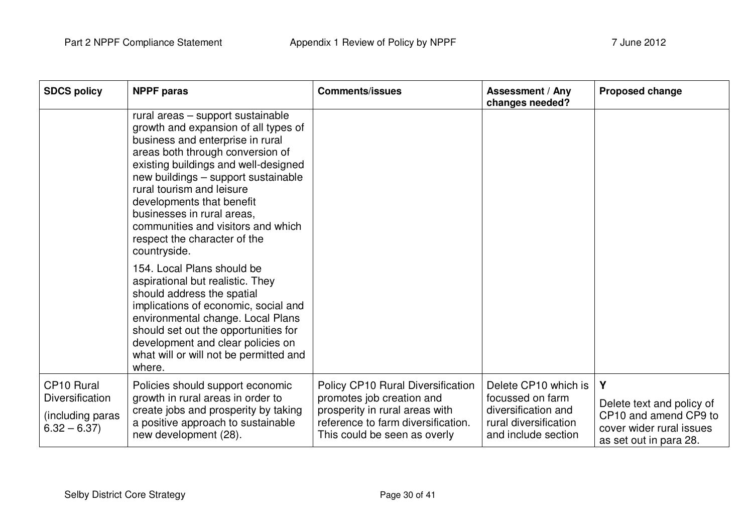| <b>SDCS policy</b>                                                                    | <b>NPPF</b> paras                                                                                                                                                                                                                                                                                                                                                                                              | <b>Comments/issues</b>                                                                                                                                                 | <b>Assessment / Any</b><br>changes needed?                                                                      | <b>Proposed change</b>                                                                                        |
|---------------------------------------------------------------------------------------|----------------------------------------------------------------------------------------------------------------------------------------------------------------------------------------------------------------------------------------------------------------------------------------------------------------------------------------------------------------------------------------------------------------|------------------------------------------------------------------------------------------------------------------------------------------------------------------------|-----------------------------------------------------------------------------------------------------------------|---------------------------------------------------------------------------------------------------------------|
|                                                                                       | rural areas - support sustainable<br>growth and expansion of all types of<br>business and enterprise in rural<br>areas both through conversion of<br>existing buildings and well-designed<br>new buildings - support sustainable<br>rural tourism and leisure<br>developments that benefit<br>businesses in rural areas,<br>communities and visitors and which<br>respect the character of the<br>countryside. |                                                                                                                                                                        |                                                                                                                 |                                                                                                               |
|                                                                                       | 154. Local Plans should be<br>aspirational but realistic. They<br>should address the spatial<br>implications of economic, social and<br>environmental change. Local Plans<br>should set out the opportunities for<br>development and clear policies on<br>what will or will not be permitted and<br>where.                                                                                                     |                                                                                                                                                                        |                                                                                                                 |                                                                                                               |
| CP <sub>10</sub> Rural<br><b>Diversification</b><br>(including paras<br>$6.32 - 6.37$ | Policies should support economic<br>growth in rural areas in order to<br>create jobs and prosperity by taking<br>a positive approach to sustainable<br>new development (28).                                                                                                                                                                                                                                   | Policy CP10 Rural Diversification<br>promotes job creation and<br>prosperity in rural areas with<br>reference to farm diversification.<br>This could be seen as overly | Delete CP10 which is<br>focussed on farm<br>diversification and<br>rural diversification<br>and include section | Y<br>Delete text and policy of<br>CP10 and amend CP9 to<br>cover wider rural issues<br>as set out in para 28. |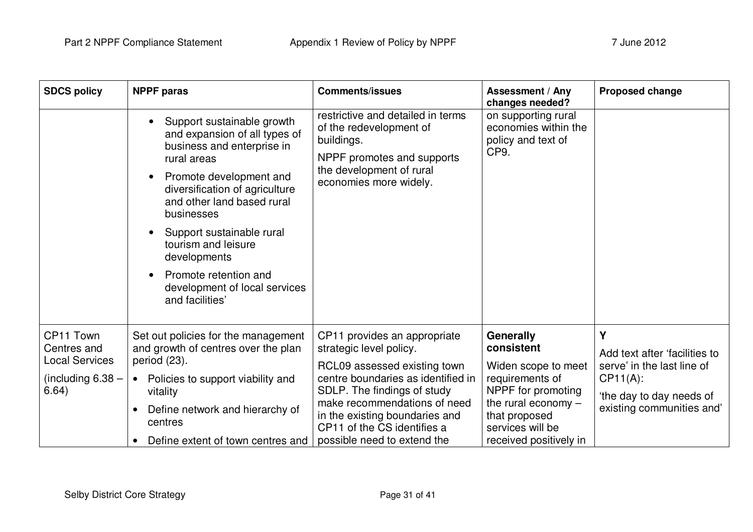| <b>SDCS policy</b>                                                                | <b>NPPF</b> paras                                                                                                                                                                                                                                                                                                                                                  | <b>Comments/issues</b>                                                                                                                                                                                                                                        | <b>Assessment / Any</b><br>changes needed?                                                                                                            | <b>Proposed change</b>                                                                                                                  |
|-----------------------------------------------------------------------------------|--------------------------------------------------------------------------------------------------------------------------------------------------------------------------------------------------------------------------------------------------------------------------------------------------------------------------------------------------------------------|---------------------------------------------------------------------------------------------------------------------------------------------------------------------------------------------------------------------------------------------------------------|-------------------------------------------------------------------------------------------------------------------------------------------------------|-----------------------------------------------------------------------------------------------------------------------------------------|
|                                                                                   | Support sustainable growth<br>and expansion of all types of<br>business and enterprise in<br>rural areas<br>Promote development and<br>diversification of agriculture<br>and other land based rural<br>businesses<br>Support sustainable rural<br>tourism and leisure<br>developments<br>Promote retention and<br>development of local services<br>and facilities' | restrictive and detailed in terms<br>of the redevelopment of<br>buildings.<br>NPPF promotes and supports<br>the development of rural<br>economies more widely.                                                                                                | on supporting rural<br>economies within the<br>policy and text of<br>CP9.                                                                             |                                                                                                                                         |
| CP11 Town<br>Centres and<br><b>Local Services</b><br>(including $6.38 -$<br>6.64) | Set out policies for the management<br>and growth of centres over the plan<br>period (23).<br>Policies to support viability and<br>$\bullet$<br>vitality<br>Define network and hierarchy of<br>centres                                                                                                                                                             | CP11 provides an appropriate<br>strategic level policy.<br>RCL09 assessed existing town<br>centre boundaries as identified in<br>SDLP. The findings of study<br>make recommendations of need<br>in the existing boundaries and<br>CP11 of the CS identifies a | Generally<br>consistent<br>Widen scope to meet<br>requirements of<br>NPPF for promoting<br>the rural economy $-$<br>that proposed<br>services will be | Y<br>Add text after 'facilities to<br>serve' in the last line of<br>$CP11(A)$ :<br>the day to day needs of<br>existing communities and' |
|                                                                                   | Define extent of town centres and                                                                                                                                                                                                                                                                                                                                  | possible need to extend the                                                                                                                                                                                                                                   | received positively in                                                                                                                                |                                                                                                                                         |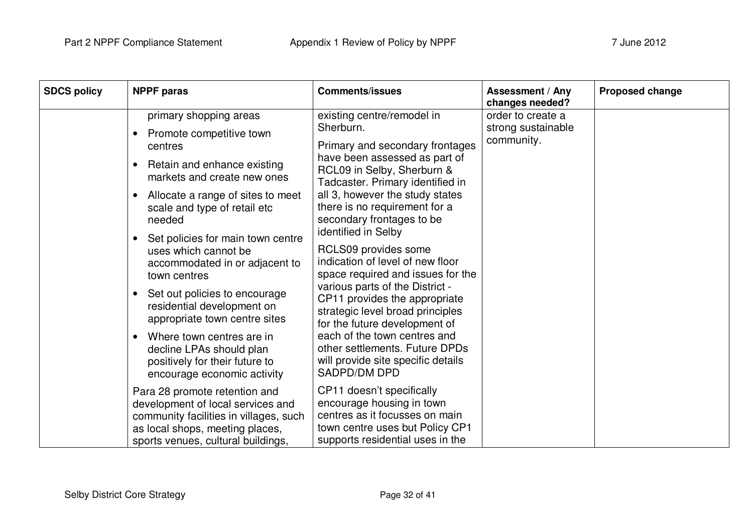| <b>SDCS policy</b> | <b>NPPF</b> paras                                                                                                                                                                     | <b>Comments/issues</b>                                                                                                                                          | Assessment / Any<br>changes needed? | <b>Proposed change</b> |
|--------------------|---------------------------------------------------------------------------------------------------------------------------------------------------------------------------------------|-----------------------------------------------------------------------------------------------------------------------------------------------------------------|-------------------------------------|------------------------|
|                    | primary shopping areas                                                                                                                                                                | existing centre/remodel in                                                                                                                                      | order to create a                   |                        |
|                    | Promote competitive town<br>centres                                                                                                                                                   | Sherburn.<br>Primary and secondary frontages                                                                                                                    | strong sustainable<br>community.    |                        |
|                    | Retain and enhance existing<br>$\bullet$<br>markets and create new ones                                                                                                               | have been assessed as part of<br>RCL09 in Selby, Sherburn &<br>Tadcaster. Primary identified in                                                                 |                                     |                        |
|                    | Allocate a range of sites to meet<br>$\bullet$<br>scale and type of retail etc<br>needed                                                                                              | all 3, however the study states<br>there is no requirement for a<br>secondary frontages to be                                                                   |                                     |                        |
|                    | Set policies for main town centre<br>$\bullet$<br>uses which cannot be<br>accommodated in or adjacent to<br>town centres                                                              | identified in Selby<br>RCLS09 provides some<br>indication of level of new floor<br>space required and issues for the                                            |                                     |                        |
|                    | Set out policies to encourage<br>$\bullet$<br>residential development on<br>appropriate town centre sites                                                                             | various parts of the District -<br>CP11 provides the appropriate<br>strategic level broad principles<br>for the future development of                           |                                     |                        |
|                    | Where town centres are in<br>$\bullet$<br>decline LPAs should plan<br>positively for their future to<br>encourage economic activity                                                   | each of the town centres and<br>other settlements. Future DPDs<br>will provide site specific details<br>SADPD/DM DPD                                            |                                     |                        |
|                    | Para 28 promote retention and<br>development of local services and<br>community facilities in villages, such<br>as local shops, meeting places,<br>sports venues, cultural buildings, | CP11 doesn't specifically<br>encourage housing in town<br>centres as it focusses on main<br>town centre uses but Policy CP1<br>supports residential uses in the |                                     |                        |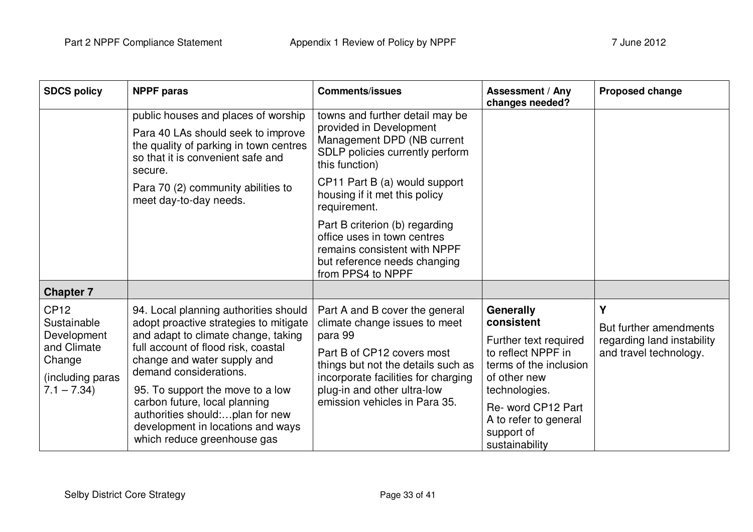| <b>SDCS policy</b>                                                                                     | <b>NPPF paras</b>                                                                                                                                                                                                                                                                                                                                                                                  | <b>Comments/issues</b>                                                                                                                                                                                                                                            | <b>Assessment / Any</b><br>changes needed?                                                                                                                                                                       | <b>Proposed change</b>                                                              |
|--------------------------------------------------------------------------------------------------------|----------------------------------------------------------------------------------------------------------------------------------------------------------------------------------------------------------------------------------------------------------------------------------------------------------------------------------------------------------------------------------------------------|-------------------------------------------------------------------------------------------------------------------------------------------------------------------------------------------------------------------------------------------------------------------|------------------------------------------------------------------------------------------------------------------------------------------------------------------------------------------------------------------|-------------------------------------------------------------------------------------|
|                                                                                                        | public houses and places of worship<br>Para 40 LAs should seek to improve<br>the quality of parking in town centres<br>so that it is convenient safe and<br>secure.<br>Para 70 (2) community abilities to<br>meet day-to-day needs.                                                                                                                                                                | towns and further detail may be<br>provided in Development<br>Management DPD (NB current<br>SDLP policies currently perform<br>this function)<br>CP11 Part B (a) would support<br>housing if it met this policy<br>requirement.<br>Part B criterion (b) regarding |                                                                                                                                                                                                                  |                                                                                     |
|                                                                                                        |                                                                                                                                                                                                                                                                                                                                                                                                    | office uses in town centres<br>remains consistent with NPPF<br>but reference needs changing<br>from PPS4 to NPPF                                                                                                                                                  |                                                                                                                                                                                                                  |                                                                                     |
| <b>Chapter 7</b>                                                                                       |                                                                                                                                                                                                                                                                                                                                                                                                    |                                                                                                                                                                                                                                                                   |                                                                                                                                                                                                                  |                                                                                     |
| <b>CP12</b><br>Sustainable<br>Development<br>and Climate<br>Change<br>including paras)<br>$7.1 - 7.34$ | 94. Local planning authorities should<br>adopt proactive strategies to mitigate<br>and adapt to climate change, taking<br>full account of flood risk, coastal<br>change and water supply and<br>demand considerations.<br>95. To support the move to a low<br>carbon future, local planning<br>authorities should:plan for new<br>development in locations and ways<br>which reduce greenhouse gas | Part A and B cover the general<br>climate change issues to meet<br>para 99<br>Part B of CP12 covers most<br>things but not the details such as<br>incorporate facilities for charging<br>plug-in and other ultra-low<br>emission vehicles in Para 35.             | Generally<br>consistent<br>Further text required<br>to reflect NPPF in<br>terms of the inclusion<br>of other new<br>technologies.<br>Re- word CP12 Part<br>A to refer to general<br>support of<br>sustainability | Y<br>But further amendments<br>regarding land instability<br>and travel technology. |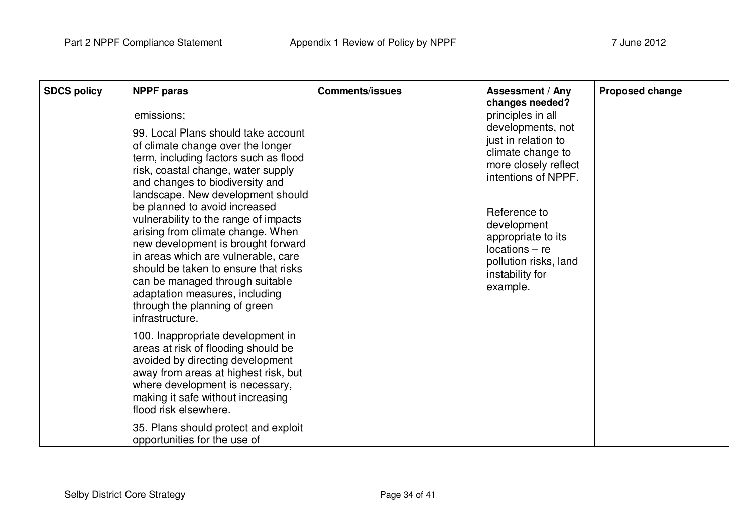| <b>SDCS policy</b> | <b>NPPF</b> paras                                                                                                                                                                                                                                                                                                                                                                                                                                                                                                                                                                                          | <b>Comments/issues</b> | Assessment / Any<br>changes needed?                                                                                                                                                                                                                                | <b>Proposed change</b> |
|--------------------|------------------------------------------------------------------------------------------------------------------------------------------------------------------------------------------------------------------------------------------------------------------------------------------------------------------------------------------------------------------------------------------------------------------------------------------------------------------------------------------------------------------------------------------------------------------------------------------------------------|------------------------|--------------------------------------------------------------------------------------------------------------------------------------------------------------------------------------------------------------------------------------------------------------------|------------------------|
|                    | emissions;<br>99. Local Plans should take account<br>of climate change over the longer<br>term, including factors such as flood<br>risk, coastal change, water supply<br>and changes to biodiversity and<br>landscape. New development should<br>be planned to avoid increased<br>vulnerability to the range of impacts<br>arising from climate change. When<br>new development is brought forward<br>in areas which are vulnerable, care<br>should be taken to ensure that risks<br>can be managed through suitable<br>adaptation measures, including<br>through the planning of green<br>infrastructure. |                        | principles in all<br>developments, not<br>just in relation to<br>climate change to<br>more closely reflect<br>intentions of NPPF.<br>Reference to<br>development<br>appropriate to its<br>$locations - re$<br>pollution risks, land<br>instability for<br>example. |                        |
|                    | 100. Inappropriate development in<br>areas at risk of flooding should be<br>avoided by directing development<br>away from areas at highest risk, but<br>where development is necessary,<br>making it safe without increasing<br>flood risk elsewhere.<br>35. Plans should protect and exploit<br>opportunities for the use of                                                                                                                                                                                                                                                                              |                        |                                                                                                                                                                                                                                                                    |                        |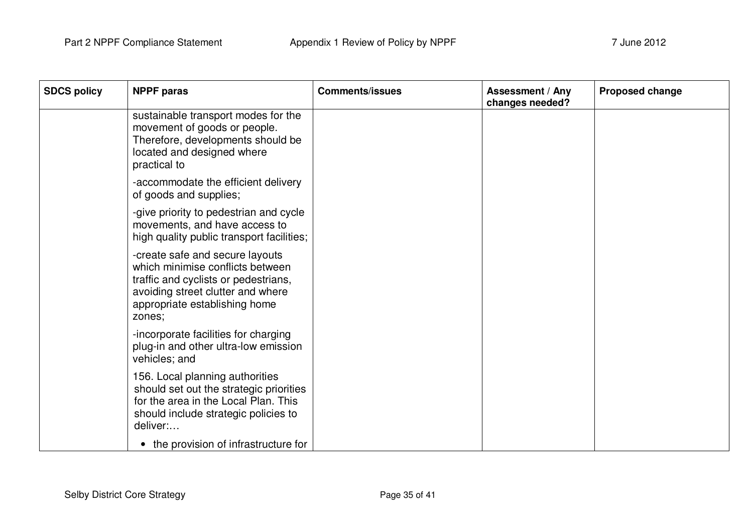| <b>SDCS policy</b> | <b>NPPF</b> paras                                                                                                                                                                           | <b>Comments/issues</b> | Assessment / Any<br>changes needed? | <b>Proposed change</b> |
|--------------------|---------------------------------------------------------------------------------------------------------------------------------------------------------------------------------------------|------------------------|-------------------------------------|------------------------|
|                    | sustainable transport modes for the<br>movement of goods or people.<br>Therefore, developments should be<br>located and designed where<br>practical to                                      |                        |                                     |                        |
|                    | -accommodate the efficient delivery<br>of goods and supplies;                                                                                                                               |                        |                                     |                        |
|                    | -give priority to pedestrian and cycle<br>movements, and have access to<br>high quality public transport facilities;                                                                        |                        |                                     |                        |
|                    | -create safe and secure layouts<br>which minimise conflicts between<br>traffic and cyclists or pedestrians,<br>avoiding street clutter and where<br>appropriate establishing home<br>zones; |                        |                                     |                        |
|                    | -incorporate facilities for charging<br>plug-in and other ultra-low emission<br>vehicles; and                                                                                               |                        |                                     |                        |
|                    | 156. Local planning authorities<br>should set out the strategic priorities<br>for the area in the Local Plan. This<br>should include strategic policies to<br>deliver:                      |                        |                                     |                        |
|                    | • the provision of infrastructure for                                                                                                                                                       |                        |                                     |                        |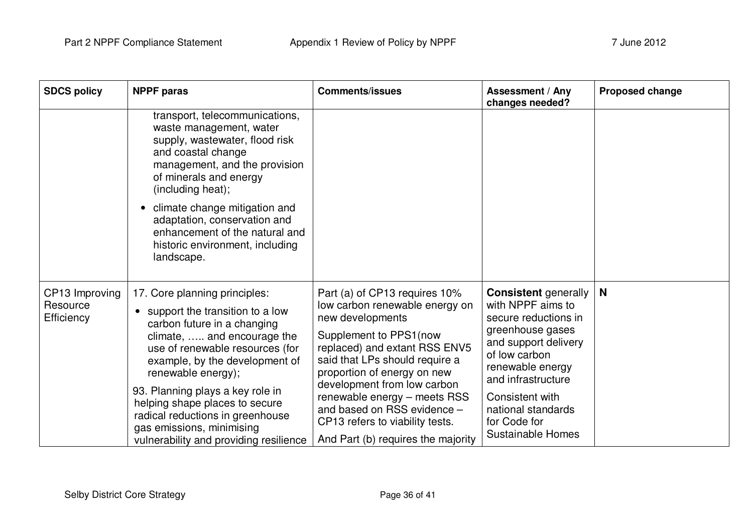| <b>SDCS policy</b>                       | <b>NPPF</b> paras                                                                                                                                                                                                                                                                                                                                                                                          | <b>Comments/issues</b>                                                                                                                                                                                                                                                                                                                                                                 | <b>Assessment / Any</b><br>changes needed?                                                                                                                                                                                                                           | Proposed change |
|------------------------------------------|------------------------------------------------------------------------------------------------------------------------------------------------------------------------------------------------------------------------------------------------------------------------------------------------------------------------------------------------------------------------------------------------------------|----------------------------------------------------------------------------------------------------------------------------------------------------------------------------------------------------------------------------------------------------------------------------------------------------------------------------------------------------------------------------------------|----------------------------------------------------------------------------------------------------------------------------------------------------------------------------------------------------------------------------------------------------------------------|-----------------|
|                                          | transport, telecommunications,<br>waste management, water<br>supply, wastewater, flood risk<br>and coastal change<br>management, and the provision<br>of minerals and energy<br>(including heat);                                                                                                                                                                                                          |                                                                                                                                                                                                                                                                                                                                                                                        |                                                                                                                                                                                                                                                                      |                 |
|                                          | climate change mitigation and<br>$\bullet$<br>adaptation, conservation and<br>enhancement of the natural and<br>historic environment, including<br>landscape.                                                                                                                                                                                                                                              |                                                                                                                                                                                                                                                                                                                                                                                        |                                                                                                                                                                                                                                                                      |                 |
| CP13 Improving<br>Resource<br>Efficiency | 17. Core planning principles:<br>support the transition to a low<br>carbon future in a changing<br>climate,  and encourage the<br>use of renewable resources (for<br>example, by the development of<br>renewable energy);<br>93. Planning plays a key role in<br>helping shape places to secure<br>radical reductions in greenhouse<br>gas emissions, minimising<br>vulnerability and providing resilience | Part (a) of CP13 requires 10%<br>low carbon renewable energy on<br>new developments<br>Supplement to PPS1(now<br>replaced) and extant RSS ENV5<br>said that LPs should require a<br>proportion of energy on new<br>development from low carbon<br>renewable energy - meets RSS<br>and based on RSS evidence -<br>CP13 refers to viability tests.<br>And Part (b) requires the majority | <b>Consistent</b> generally<br>with NPPF aims to<br>secure reductions in<br>greenhouse gases<br>and support delivery<br>of low carbon<br>renewable energy<br>and infrastructure<br>Consistent with<br>national standards<br>for Code for<br><b>Sustainable Homes</b> | N               |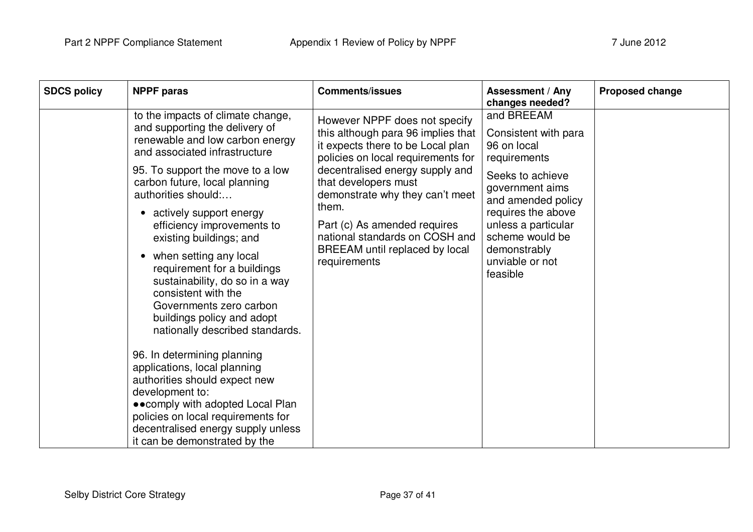| <b>SDCS policy</b> | <b>NPPF</b> paras                                                                                                                                                                                                                                                                                                                                                                                                                                                                                                                                                                                                                                                                                                                                                                                                        | <b>Comments/issues</b>                                                                                                                                                                                                                                                                                                                                                    | <b>Assessment / Any</b><br>changes needed?                                                                                                                                                                                                    | <b>Proposed change</b> |
|--------------------|--------------------------------------------------------------------------------------------------------------------------------------------------------------------------------------------------------------------------------------------------------------------------------------------------------------------------------------------------------------------------------------------------------------------------------------------------------------------------------------------------------------------------------------------------------------------------------------------------------------------------------------------------------------------------------------------------------------------------------------------------------------------------------------------------------------------------|---------------------------------------------------------------------------------------------------------------------------------------------------------------------------------------------------------------------------------------------------------------------------------------------------------------------------------------------------------------------------|-----------------------------------------------------------------------------------------------------------------------------------------------------------------------------------------------------------------------------------------------|------------------------|
|                    | to the impacts of climate change,<br>and supporting the delivery of<br>renewable and low carbon energy<br>and associated infrastructure<br>95. To support the move to a low<br>carbon future, local planning<br>authorities should:<br>actively support energy<br>efficiency improvements to<br>existing buildings; and<br>when setting any local<br>$\bullet$<br>requirement for a buildings<br>sustainability, do so in a way<br>consistent with the<br>Governments zero carbon<br>buildings policy and adopt<br>nationally described standards.<br>96. In determining planning<br>applications, local planning<br>authorities should expect new<br>development to:<br>• • comply with adopted Local Plan<br>policies on local requirements for<br>decentralised energy supply unless<br>it can be demonstrated by the | However NPPF does not specify<br>this although para 96 implies that<br>it expects there to be Local plan<br>policies on local requirements for<br>decentralised energy supply and<br>that developers must<br>demonstrate why they can't meet<br>them.<br>Part (c) As amended requires<br>national standards on COSH and<br>BREEAM until replaced by local<br>requirements | and BREEAM<br>Consistent with para<br>96 on local<br>requirements<br>Seeks to achieve<br>government aims<br>and amended policy<br>requires the above<br>unless a particular<br>scheme would be<br>demonstrably<br>unviable or not<br>feasible |                        |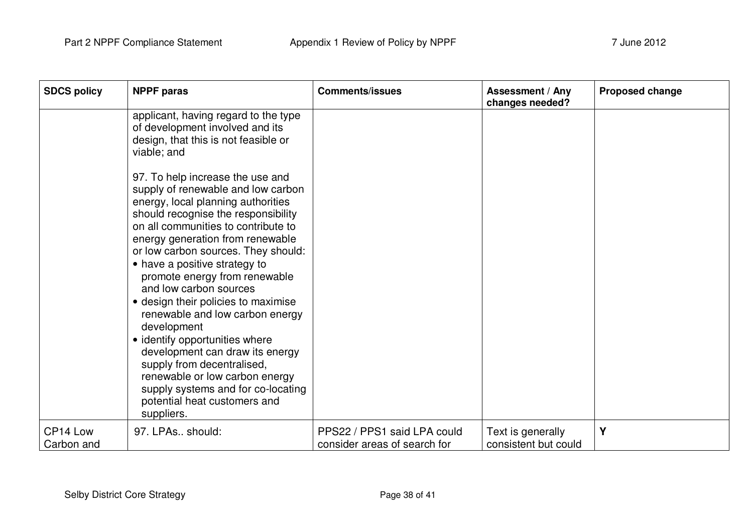| <b>SDCS policy</b> | <b>NPPF</b> paras                                                                                                                                                                                                                                                                                                                                                                                                                                                                                                                                                                                                                                                                   | <b>Comments/issues</b>       | <b>Assessment / Any</b><br>changes needed? | <b>Proposed change</b> |
|--------------------|-------------------------------------------------------------------------------------------------------------------------------------------------------------------------------------------------------------------------------------------------------------------------------------------------------------------------------------------------------------------------------------------------------------------------------------------------------------------------------------------------------------------------------------------------------------------------------------------------------------------------------------------------------------------------------------|------------------------------|--------------------------------------------|------------------------|
|                    | applicant, having regard to the type<br>of development involved and its<br>design, that this is not feasible or<br>viable; and                                                                                                                                                                                                                                                                                                                                                                                                                                                                                                                                                      |                              |                                            |                        |
|                    | 97. To help increase the use and<br>supply of renewable and low carbon<br>energy, local planning authorities<br>should recognise the responsibility<br>on all communities to contribute to<br>energy generation from renewable<br>or low carbon sources. They should:<br>• have a positive strategy to<br>promote energy from renewable<br>and low carbon sources<br>• design their policies to maximise<br>renewable and low carbon energy<br>development<br>• identify opportunities where<br>development can draw its energy<br>supply from decentralised,<br>renewable or low carbon energy<br>supply systems and for co-locating<br>potential heat customers and<br>suppliers. |                              |                                            |                        |
| CP14 Low           | 97. LPAs., should:                                                                                                                                                                                                                                                                                                                                                                                                                                                                                                                                                                                                                                                                  | PPS22 / PPS1 said LPA could  | Text is generally                          | Y                      |
| Carbon and         |                                                                                                                                                                                                                                                                                                                                                                                                                                                                                                                                                                                                                                                                                     | consider areas of search for | consistent but could                       |                        |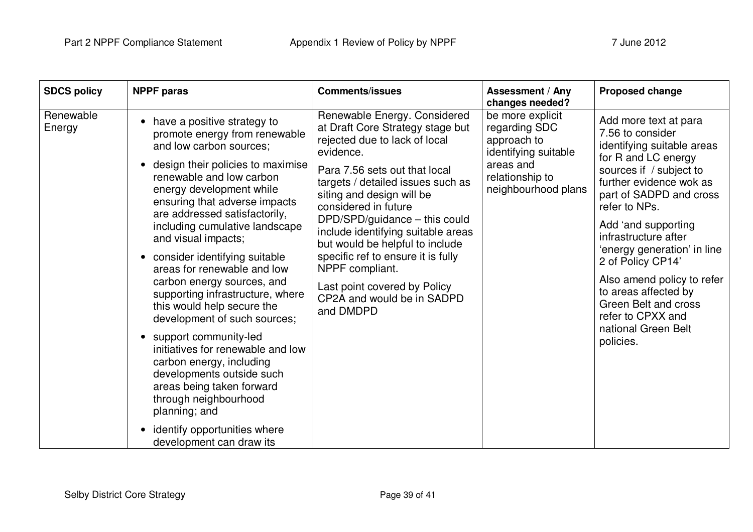| <b>SDCS policy</b>  | <b>NPPF</b> paras                                                                                                                                                                                                                                                                                                                                                                                                                                                                                                                                                                                                                                                                                                                                                             | <b>Comments/issues</b>                                                                                                                                                                                                                                                                                                                                                                                                                                                                  | <b>Assessment / Any</b><br>changes needed?                                                                                      | Proposed change                                                                                                                                                                                                                                                                                                                                                                                                                            |
|---------------------|-------------------------------------------------------------------------------------------------------------------------------------------------------------------------------------------------------------------------------------------------------------------------------------------------------------------------------------------------------------------------------------------------------------------------------------------------------------------------------------------------------------------------------------------------------------------------------------------------------------------------------------------------------------------------------------------------------------------------------------------------------------------------------|-----------------------------------------------------------------------------------------------------------------------------------------------------------------------------------------------------------------------------------------------------------------------------------------------------------------------------------------------------------------------------------------------------------------------------------------------------------------------------------------|---------------------------------------------------------------------------------------------------------------------------------|--------------------------------------------------------------------------------------------------------------------------------------------------------------------------------------------------------------------------------------------------------------------------------------------------------------------------------------------------------------------------------------------------------------------------------------------|
| Renewable<br>Energy | have a positive strategy to<br>promote energy from renewable<br>and low carbon sources;<br>design their policies to maximise<br>renewable and low carbon<br>energy development while<br>ensuring that adverse impacts<br>are addressed satisfactorily,<br>including cumulative landscape<br>and visual impacts;<br>• consider identifying suitable<br>areas for renewable and low<br>carbon energy sources, and<br>supporting infrastructure, where<br>this would help secure the<br>development of such sources;<br>• support community-led<br>initiatives for renewable and low<br>carbon energy, including<br>developments outside such<br>areas being taken forward<br>through neighbourhood<br>planning; and<br>identify opportunities where<br>development can draw its | Renewable Energy. Considered<br>at Draft Core Strategy stage but<br>rejected due to lack of local<br>evidence.<br>Para 7.56 sets out that local<br>targets / detailed issues such as<br>siting and design will be<br>considered in future<br>DPD/SPD/guidance - this could<br>include identifying suitable areas<br>but would be helpful to include<br>specific ref to ensure it is fully<br>NPPF compliant.<br>Last point covered by Policy<br>CP2A and would be in SADPD<br>and DMDPD | be more explicit<br>regarding SDC<br>approach to<br>identifying suitable<br>areas and<br>relationship to<br>neighbourhood plans | Add more text at para<br>7.56 to consider<br>identifying suitable areas<br>for R and LC energy<br>sources if / subject to<br>further evidence wok as<br>part of SADPD and cross<br>refer to NPs.<br>Add 'and supporting<br>infrastructure after<br>'energy generation' in line<br>2 of Policy CP14'<br>Also amend policy to refer<br>to areas affected by<br>Green Belt and cross<br>refer to CPXX and<br>national Green Belt<br>policies. |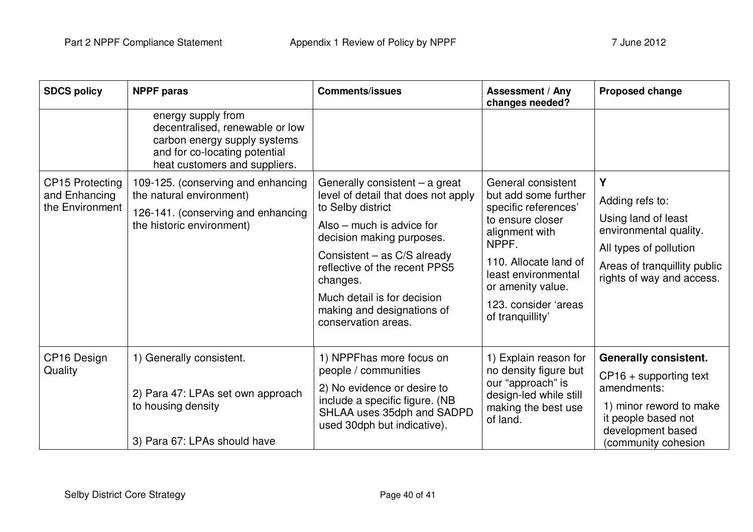| <b>SDCS policy</b>                                         | <b>NPPF</b> paras                                                                                                                                       | <b>Comments/issues</b>                                                                                                                                                                                                                                                                                                 | <b>Assessment / Any</b><br>changes needed?                                                                                                                                                                                         | <b>Proposed change</b>                                                                                                                                                |
|------------------------------------------------------------|---------------------------------------------------------------------------------------------------------------------------------------------------------|------------------------------------------------------------------------------------------------------------------------------------------------------------------------------------------------------------------------------------------------------------------------------------------------------------------------|------------------------------------------------------------------------------------------------------------------------------------------------------------------------------------------------------------------------------------|-----------------------------------------------------------------------------------------------------------------------------------------------------------------------|
|                                                            | energy supply from<br>decentralised, renewable or low<br>carbon energy supply systems<br>and for co-locating potential<br>heat customers and suppliers. |                                                                                                                                                                                                                                                                                                                        |                                                                                                                                                                                                                                    |                                                                                                                                                                       |
| <b>CP15 Protecting</b><br>and Enhancing<br>the Environment | 109-125. (conserving and enhancing<br>the natural environment)<br>126-141. (conserving and enhancing<br>the historic environment)                       | Generally consistent - a great<br>level of detail that does not apply<br>to Selby district<br>Also $-$ much is advice for<br>decision making purposes.<br>Consistent – as C/S already<br>reflective of the recent PPS5<br>changes.<br>Much detail is for decision<br>making and designations of<br>conservation areas. | General consistent<br>but add some further<br>specific references'<br>to ensure closer<br>alignment with<br>NPPF.<br>110. Allocate land of<br>least environmental<br>or amenity value.<br>123. consider 'areas<br>of tranquillity' | Y<br>Adding refs to:<br>Using land of least<br>environmental quality.<br>All types of pollution<br>Areas of tranquillity public<br>rights of way and access.          |
| CP16 Design<br>Quality                                     | 1) Generally consistent.<br>2) Para 47: LPAs set own approach<br>to housing density<br>3) Para 67: LPAs should have                                     | 1) NPPFhas more focus on<br>people / communities<br>2) No evidence or desire to<br>include a specific figure. (NB<br>SHLAA uses 35dph and SADPD<br>used 30dph but indicative).                                                                                                                                         | 1) Explain reason for<br>no density figure but<br>our "approach" is<br>design-led while still<br>making the best use<br>of land.                                                                                                   | <b>Generally consistent.</b><br>$CP16 +$ supporting text<br>amendments:<br>1) minor reword to make<br>it people based not<br>development based<br>(community cohesion |